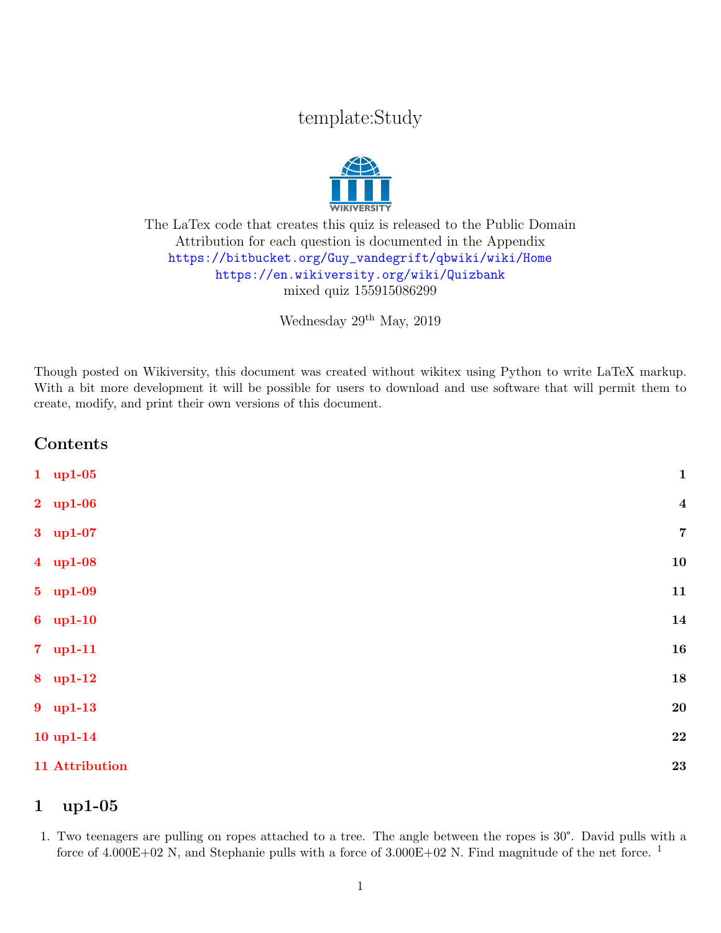# template:Study



#### The LaTex code that creates this quiz is released to the Public Domain Attribution for each question is documented in the Appendix [https://bitbucket.org/Guy\\_vandegrift/qbwiki/wiki/Home](https://bitbucket.org/Guy_vandegrift/qbwiki/wiki/Home) <https://en.wikiversity.org/wiki/Quizbank> mixed quiz 155915086299

Wednesday 29th May, 2019

Though posted on Wikiversity, this document was created without wikitex using Python to write LaTeX markup. With a bit more development it will be possible for users to download and use software that will permit them to create, modify, and print their own versions of this document.

### Contents

| $1$ up1-05              | $\mathbf{1}$            |
|-------------------------|-------------------------|
| $2 \quad \text{up1-06}$ | $\overline{\mathbf{4}}$ |
| 3 up1-07                | $\overline{7}$          |
| 4 up1-08                | 10                      |
| 5 up1-09                | 11                      |
| $6$ up1-10              | 14                      |
| $7 \quad \text{up1-11}$ | 16                      |
| 8 up1-12                | 18                      |
| 9 up1-13                | <b>20</b>               |
| $10$ up $1-14$          | 22                      |
| 11 Attribution          | <b>23</b>               |
|                         |                         |

#### <span id="page-0-0"></span>1 up1-05

1. Two teenagers are pulling on ropes attached to a tree. The angle between the ropes is 30°. David pulls with a force of  $4.000E+02$  N, and Stephanie pulls with a force of  $3.000E+02$  N. Find magnitude of the net force. <sup>1</sup>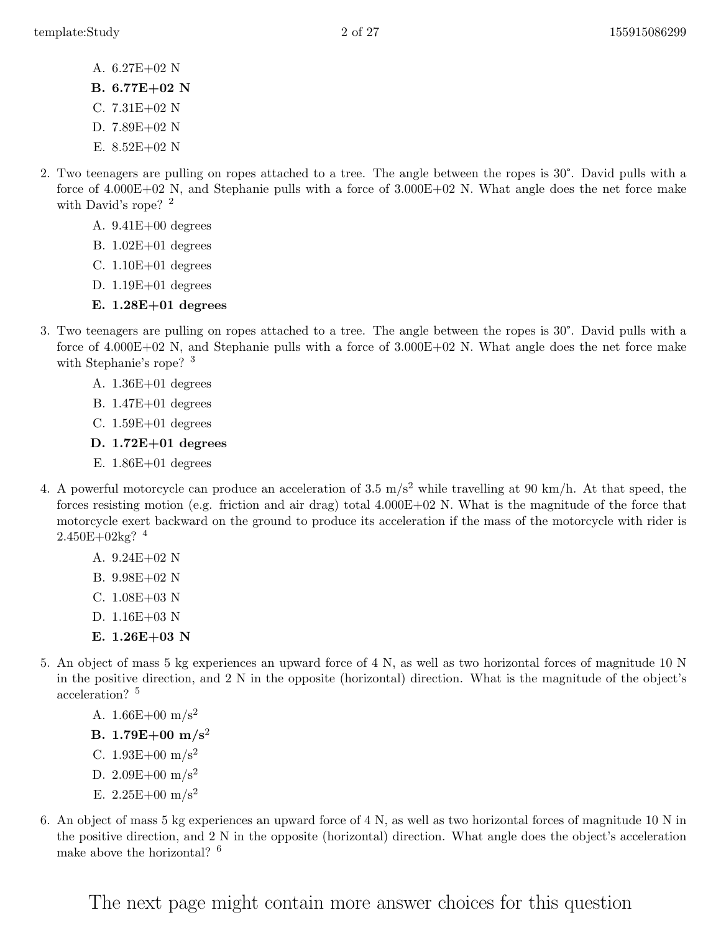- A. 6.27E+02 N
- B. 6.77E+02 N
- C. 7.31E+02 N
- D. 7.89E+02 N
- E. 8.52E+02 N
- 2. Two teenagers are pulling on ropes attached to a tree. The angle between the ropes is 30°. David pulls with a force of 4.000E+02 N, and Stephanie pulls with a force of 3.000E+02 N. What angle does the net force make with David's rope? <sup>2</sup>
	- A. 9.41E+00 degrees
	- B. 1.02E+01 degrees
	- C. 1.10E+01 degrees
	- D. 1.19E+01 degrees

#### E. 1.28E+01 degrees

- 3. Two teenagers are pulling on ropes attached to a tree. The angle between the ropes is 30°. David pulls with a force of 4.000E+02 N, and Stephanie pulls with a force of 3.000E+02 N. What angle does the net force make with Stephanie's rope? <sup>3</sup>
	- A. 1.36E+01 degrees
	- B. 1.47E+01 degrees
	- C. 1.59E+01 degrees
	- D. 1.72E+01 degrees
	- E. 1.86E+01 degrees
- 4. A powerful motorcycle can produce an acceleration of 3.5  $m/s^2$  while travelling at 90 km/h. At that speed, the forces resisting motion (e.g. friction and air drag) total 4.000E+02 N. What is the magnitude of the force that motorcycle exert backward on the ground to produce its acceleration if the mass of the motorcycle with rider is  $2.450E+02kg$ ?<sup>4</sup>
	- A. 9.24E+02 N
	- B. 9.98E+02 N
	- C. 1.08E+03 N
	- D. 1.16E+03 N
	- E.  $1.26E+03$  N
- 5. An object of mass 5 kg experiences an upward force of 4 N, as well as two horizontal forces of magnitude 10 N in the positive direction, and 2 N in the opposite (horizontal) direction. What is the magnitude of the object's acceleration? <sup>5</sup>
	- A.  $1.66E+00 \text{ m/s}^2$
	- B. 1.79 $E+00$  m/s<sup>2</sup>
	- C.  $1.93E+00 \text{ m/s}^2$
	- D. 2.09E+00 m/s<sup>2</sup>
	- E.  $2.25E+00$  m/s<sup>2</sup>
- 6. An object of mass 5 kg experiences an upward force of 4 N, as well as two horizontal forces of magnitude 10 N in the positive direction, and 2 N in the opposite (horizontal) direction. What angle does the object's acceleration make above the horizontal? <sup>6</sup>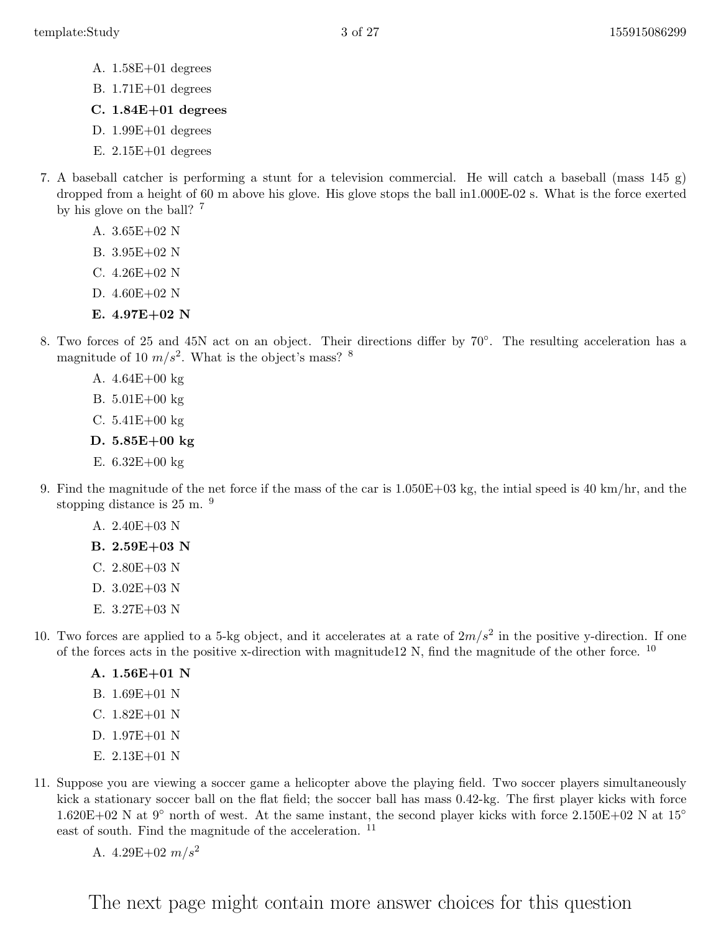- A. 1.58E+01 degrees
- B. 1.71E+01 degrees
- C. 1.84E+01 degrees
- D. 1.99E+01 degrees
- E. 2.15E+01 degrees
- 7. A baseball catcher is performing a stunt for a television commercial. He will catch a baseball (mass 145 g) dropped from a height of 60 m above his glove. His glove stops the ball in1.000E-02 s. What is the force exerted by his glove on the ball? <sup>7</sup>
	- A. 3.65E+02 N
	- B. 3.95E+02 N
	- C. 4.26E+02 N
	- D. 4.60E+02 N
	- E.  $4.97E+02$  N
- 8. Two forces of 25 and 45N act on an object. Their directions differ by 70◦ . The resulting acceleration has a magnitude of 10  $m/s^2$ . What is the object's mass? <sup>8</sup>
	- A. 4.64E+00 kg
	- B. 5.01E+00 kg
	- C. 5.41E+00 kg
	- D. 5.85E+00 kg
	- E.  $6.32E + 00 \text{ kg}$
- 9. Find the magnitude of the net force if the mass of the car is 1.050E+03 kg, the intial speed is 40 km/hr, and the stopping distance is 25 m.  $9$ 
	- A. 2.40E+03 N
	- B. 2.59E+03 N
	- C. 2.80E+03 N
	- D. 3.02E+03 N
	- E. 3.27E+03 N
- 10. Two forces are applied to a 5-kg object, and it accelerates at a rate of  $2m/s^2$  in the positive y-direction. If one of the forces acts in the positive x-direction with magnitude12 N, find the magnitude of the other force. <sup>10</sup>
	- A. 1.56E+01 N
	- B. 1.69E+01 N
	- C. 1.82E+01 N
	- D. 1.97E+01 N
	- E. 2.13E+01 N
- 11. Suppose you are viewing a soccer game a helicopter above the playing field. Two soccer players simultaneously kick a stationary soccer ball on the flat field; the soccer ball has mass 0.42-kg. The first player kicks with force  $1.620E+02$  N at  $9°$  north of west. At the same instant, the second player kicks with force 2.150E+02 N at  $15°$ east of south. Find the magnitude of the acceleration. <sup>11</sup>
	- A.  $4.29E+02 \frac{m}{s^2}$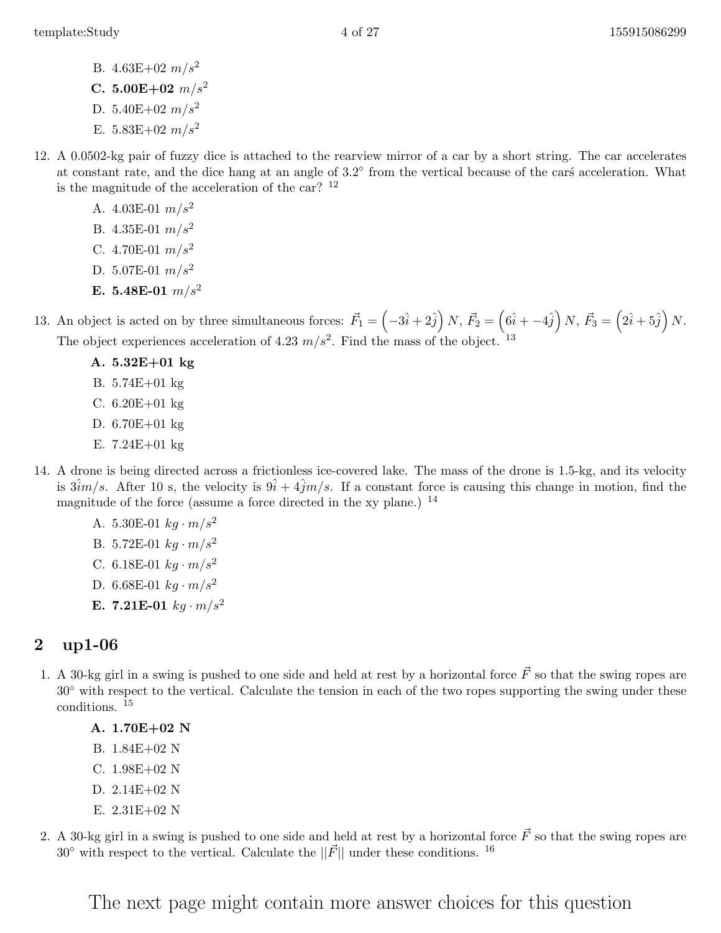- B.  $4.63E+02 \frac{m}{s^2}$
- C. 5.00E+02  $m/s^2$
- D. 5.40E+02  $m/s^2$
- E.  $5.83E+02 \ m/s^2$
- 12. A 0.0502-kg pair of fuzzy dice is attached to the rearview mirror of a car by a short string. The car accelerates at constant rate, and the dice hang at an angle of  $3.2^\circ$  from the vertical because of the cars acceleration. What is the magnitude of the acceleration of the car?  $12$ 
	- A. 4.03E-01  $m/s^2$
	- B. 4.35E-01  $m/s^2$
	- C. 4.70E-01  $m/s^2$
	- D. 5.07E-01  $m/s^2$
	- E. 5.48E-01  $m/s^2$

13. An object is acted on by three simultaneous forces:  $\vec{F}_1 = \left(-3\hat{i} + 2\hat{j}\right)N$ ,  $\vec{F}_2 = \left(6\hat{i} + -4\hat{j}\right)N$ ,  $\vec{F}_3 = \left(2\hat{i} + 5\hat{j}\right)N$ . The object experiences acceleration of 4.23  $m/s^2$ . Find the mass of the object. <sup>13</sup>

- A. 5.32E+01 kg
- B. 5.74E+01 kg
- C. 6.20E+01 kg
- D. 6.70E+01 kg
- E. 7.24E+01 kg
- 14. A drone is being directed across a frictionless ice-covered lake. The mass of the drone is 1.5-kg, and its velocity is  $3\hat{i}m/s$ . After 10 s, the velocity is  $9\hat{i} + 4\hat{j}m/s$ . If a constant force is causing this change in motion, find the magnitude of the force (assume a force directed in the xy plane.) <sup>14</sup>
	- A. 5.30E-01  $kg \cdot m/s^2$ B. 5.72E-01  $kg \cdot m/s^2$ C. 6.18E-01  $kg \cdot m/s^2$
	- D. 6.68E-01  $kg \cdot m/s^2$
	- **E.** 7.21**E-01**  $kg \cdot m/s^2$

#### <span id="page-3-0"></span>2 up1-06

- 1. A 30-kg girl in a swing is pushed to one side and held at rest by a horizontal force  $\vec{F}$  so that the swing ropes are 30◦ with respect to the vertical. Calculate the tension in each of the two ropes supporting the swing under these conditions. <sup>15</sup>
	- A. 1.70E+02 N
	- B. 1.84E+02 N
	- C. 1.98E+02 N
	- D. 2.14E+02 N
	- E. 2.31E+02 N
- 2. A 30-kg girl in a swing is pushed to one side and held at rest by a horizontal force  $\vec{F}$  so that the swing ropes are  $30°$  with respect to the vertical. Calculate the  $||\vec{F}||$  under these conditions. <sup>16</sup>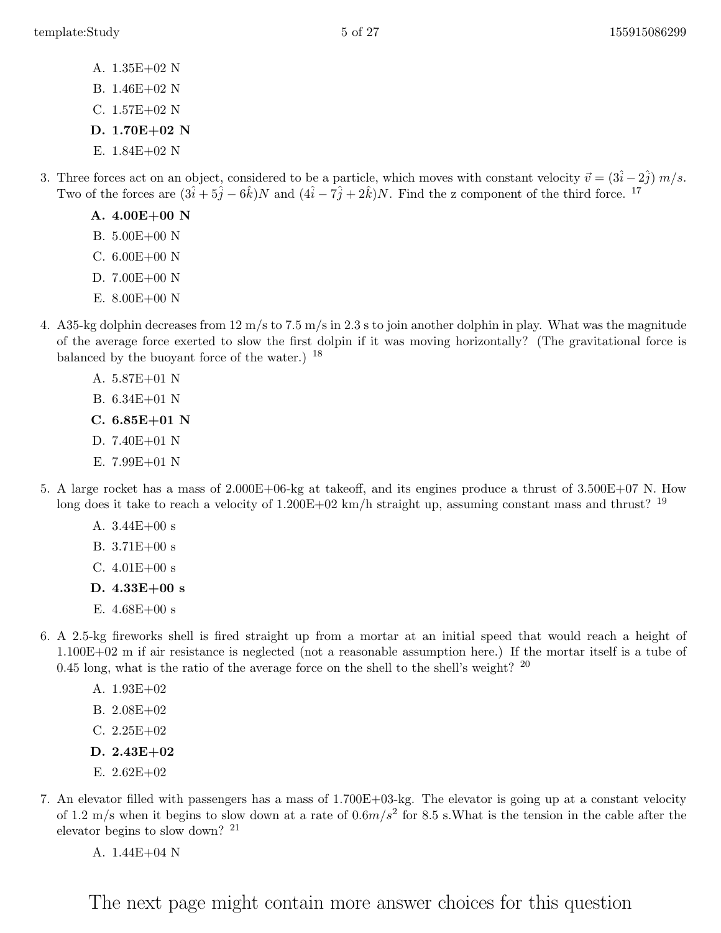- A. 1.35E+02 N
- B. 1.46E+02 N
- C. 1.57E+02 N
- D. 1.70E+02 N
- E. 1.84E+02 N
- 3. Three forces act on an object, considered to be a particle, which moves with constant velocity  $\vec{v} = (3\hat{i} 2\hat{j}) m/s$ . Two of the forces are  $(3\hat{i} + 5\hat{j} - 6\hat{k})N$  and  $(4\hat{i} - 7\hat{j} + 2\hat{k})N$ . Find the z component of the third force. <sup>17</sup>
	- A. 4.00E+00 N
	- B. 5.00E+00 N
	- C.  $6.00E+00$  N
	- D. 7.00E+00 N
	- E. 8.00E+00 N
- 4. A 35-kg dolphin decreases from  $12 \text{ m/s}$  to  $7.5 \text{ m/s}$  in 2.3 s to join another dolphin in play. What was the magnitude of the average force exerted to slow the first dolpin if it was moving horizontally? (The gravitational force is balanced by the buoyant force of the water.) <sup>18</sup>
	- A. 5.87E+01 N
	- B. 6.34E+01 N
	- C. 6.85E+01 N
	- D. 7.40E+01 N
	- E. 7.99E+01 N
- 5. A large rocket has a mass of 2.000E+06-kg at takeoff, and its engines produce a thrust of 3.500E+07 N. How long does it take to reach a velocity of  $1.200E+02 \text{ km/h}$  straight up, assuming constant mass and thrust? <sup>19</sup>
	- A. 3.44E+00 s
	- B. 3.71E+00 s
	- C.  $4.01E + 00 s$
	- D. 4.33E+00 s
	- E. 4.68E+00 s
- 6. A 2.5-kg fireworks shell is fired straight up from a mortar at an initial speed that would reach a height of 1.100E+02 m if air resistance is neglected (not a reasonable assumption here.) If the mortar itself is a tube of 0.45 long, what is the ratio of the average force on the shell to the shell's weight?  $^{20}$ 
	- A. 1.93E+02
	- B. 2.08E+02
	- C. 2.25E+02
	- D. 2.43E+02
	- E. 2.62E+02
- 7. An elevator filled with passengers has a mass of 1.700E+03-kg. The elevator is going up at a constant velocity of 1.2 m/s when it begins to slow down at a rate of  $0.6m/s^2$  for 8.5 s. What is the tension in the cable after the elevator begins to slow down? <sup>21</sup>
	- A. 1.44E+04 N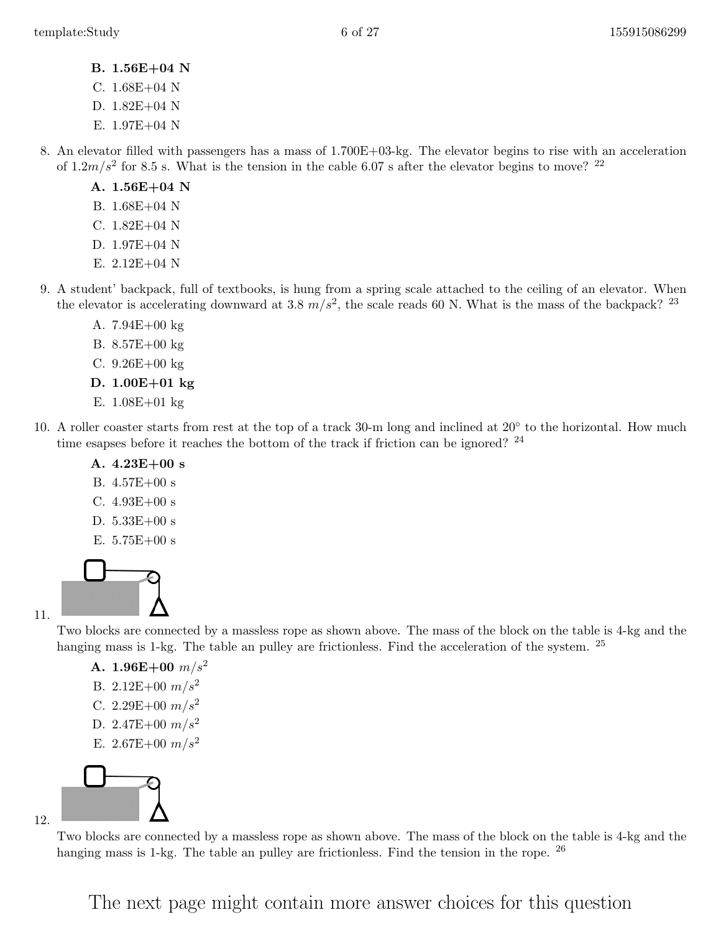- B. 1.56E+04 N
- C. 1.68E+04 N
- D. 1.82E+04 N
- E. 1.97E+04 N
- 8. An elevator filled with passengers has a mass of 1.700E+03-kg. The elevator begins to rise with an acceleration of  $1.2m/s^2$  for 8.5 s. What is the tension in the cable 6.07 s after the elevator begins to move? <sup>22</sup>
	- A. 1.56E+04 N
	- B. 1.68E+04 N
	- C. 1.82E+04 N
	- D. 1.97E+04 N
	- E.  $2.12E+04$  N
- 9. A student' backpack, full of textbooks, is hung from a spring scale attached to the ceiling of an elevator. When the elevator is accelerating downward at 3.8  $m/s^2$ , the scale reads 60 N. What is the mass of the backpack? <sup>23</sup>
	- A. 7.94E+00 kg
	- B. 8.57E+00 kg
	- C.  $9.26E + 00 kg$
	- D. 1.00E+01 kg
	- E. 1.08E+01 kg
- 10. A roller coaster starts from rest at the top of a track 30-m long and inclined at 20◦ to the horizontal. How much time esapses before it reaches the bottom of the track if friction can be ignored? <sup>24</sup>
	- A.  $4.23E+00 s$
	- B. 4.57E+00 s
	- C.  $4.93E+00 s$
	- D. 5.33E+00 s
	- E.  $5.75E+00 s$



Two blocks are connected by a massless rope as shown above. The mass of the block on the table is 4-kg and the hanging mass is 1-kg. The table an pulley are frictionless. Find the acceleration of the system. <sup>25</sup>

- A. 1.96E+00  $m/s^2$
- B. 2.12E+00  $m/s^2$
- C. 2.29E+00  $m/s^2$
- D. 2.47E+00  $m/s^2$
- E. 2.67E+00  $m/s^2$



Two blocks are connected by a massless rope as shown above. The mass of the block on the table is 4-kg and the hanging mass is 1-kg. The table an pulley are frictionless. Find the tension in the rope. <sup>26</sup>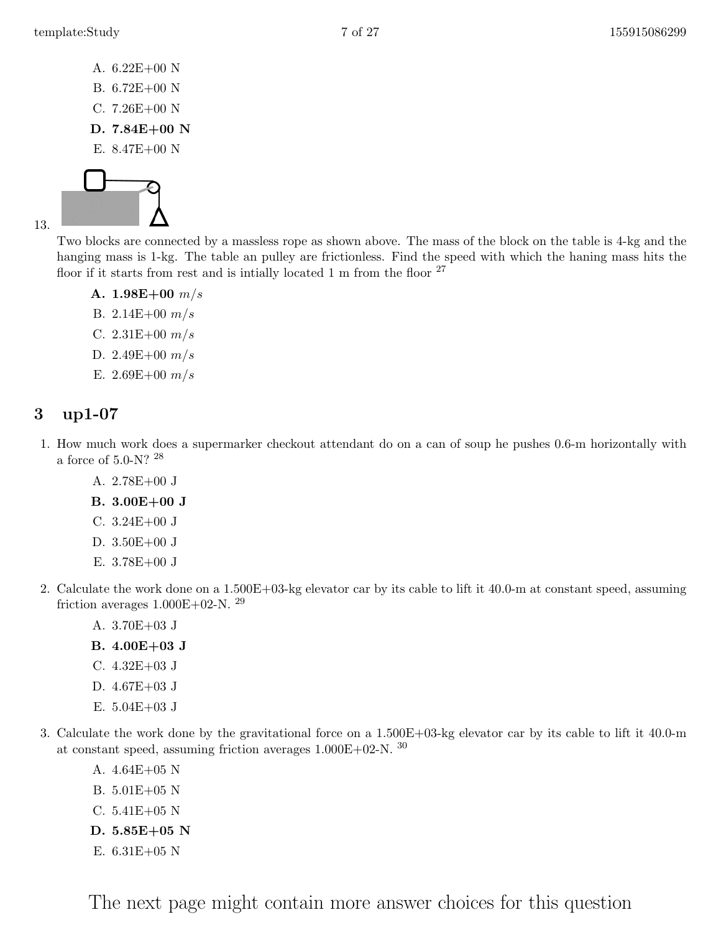- A. 6.22E+00 N
- B. 6.72E+00 N
- C. 7.26E+00 N
- D. 7.84E+00 N
- E. 8.47E+00 N



Two blocks are connected by a massless rope as shown above. The mass of the block on the table is 4-kg and the hanging mass is 1-kg. The table an pulley are frictionless. Find the speed with which the haning mass hits the floor if it starts from rest and is intially located 1 m from the floor  $27$ 

A.  $1.98E+00$  m/s

- B. 2.14 $E+00$   $m/s$
- C.  $2.31E+00 \frac{m}{s}$
- D. 2.49 $E+00$   $m/s$
- E. 2.69E+00  $m/s$

## <span id="page-6-0"></span>3 up1-07

- 1. How much work does a supermarker checkout attendant do on a can of soup he pushes 0.6-m horizontally with a force of 5.0-N? <sup>28</sup>
	- A. 2.78E+00 J
	- B. 3.00E+00 J
	- C. 3.24E+00 J
	- D. 3.50E+00 J
	- E. 3.78E+00 J
- 2. Calculate the work done on a 1.500E+03-kg elevator car by its cable to lift it 40.0-m at constant speed, assuming friction averages  $1.000E+02-N$ . <sup>29</sup>
	- A. 3.70E+03 J
	- B. 4.00E+03 J
	- C. 4.32E+03 J
	- D. 4.67E+03 J
	- E. 5.04E+03 J
- 3. Calculate the work done by the gravitational force on a 1.500E+03-kg elevator car by its cable to lift it 40.0-m at constant speed, assuming friction averages  $1.000\mathrm{E}{+02\text{-N}}$  .  $^{30}$ 
	- A. 4.64E+05 N
	- B. 5.01E+05 N
	- C. 5.41E+05 N
	- D. 5.85E+05 N
	- E. 6.31E+05 N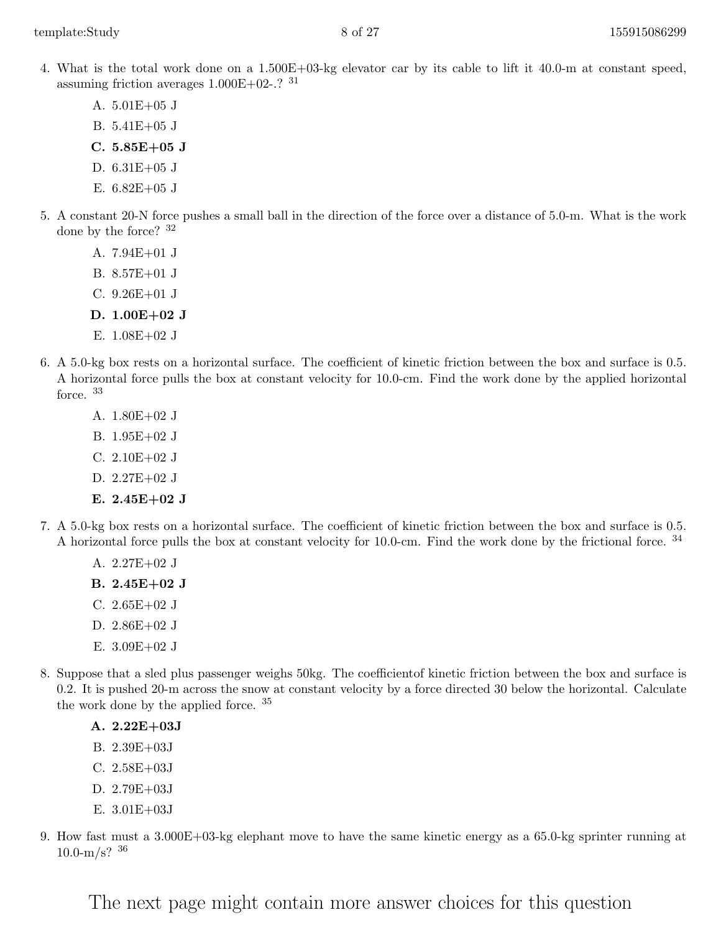- 4. What is the total work done on a 1.500E+03-kg elevator car by its cable to lift it 40.0-m at constant speed, assuming friction averages  $1.000E+02-.$ ?  $31$ 
	- A. 5.01E+05 J
	- B. 5.41E+05 J
	- C. 5.85E+05 J
	- D. 6.31E+05 J
	- E. 6.82E+05 J
- 5. A constant 20-N force pushes a small ball in the direction of the force over a distance of 5.0-m. What is the work done by the force? <sup>32</sup>
	- A. 7.94E+01 J
	- B. 8.57E+01 J
	- C. 9.26E+01 J
	- D. 1.00E+02 J
	- E. 1.08E+02 J
- 6. A 5.0-kg box rests on a horizontal surface. The coefficient of kinetic friction between the box and surface is 0.5. A horizontal force pulls the box at constant velocity for 10.0-cm. Find the work done by the applied horizontal force. <sup>33</sup>
	- A. 1.80E+02 J
	- B. 1.95E+02 J
	- C. 2.10E+02 J
	- D. 2.27E+02 J
	- E.  $2.45E+02J$
- 7. A 5.0-kg box rests on a horizontal surface. The coefficient of kinetic friction between the box and surface is 0.5. A horizontal force pulls the box at constant velocity for 10.0-cm. Find the work done by the frictional force. <sup>34</sup>
	- A. 2.27E+02 J
	- B. 2.45E+02 J
	- C.  $2.65E+02J$
	- D. 2.86E+02 J
	- E. 3.09E+02 J
- 8. Suppose that a sled plus passenger weighs 50kg. The coefficientof kinetic friction between the box and surface is 0.2. It is pushed 20-m across the snow at constant velocity by a force directed 30 below the horizontal. Calculate the work done by the applied force. <sup>35</sup>
	- A. 2.22E+03J
	- B. 2.39E+03J
	- C. 2.58E+03J
	- D. 2.79E+03J
	- E. 3.01E+03J
- 9. How fast must a 3.000E+03-kg elephant move to have the same kinetic energy as a 65.0-kg sprinter running at  $10.0 - m/s$ ? 36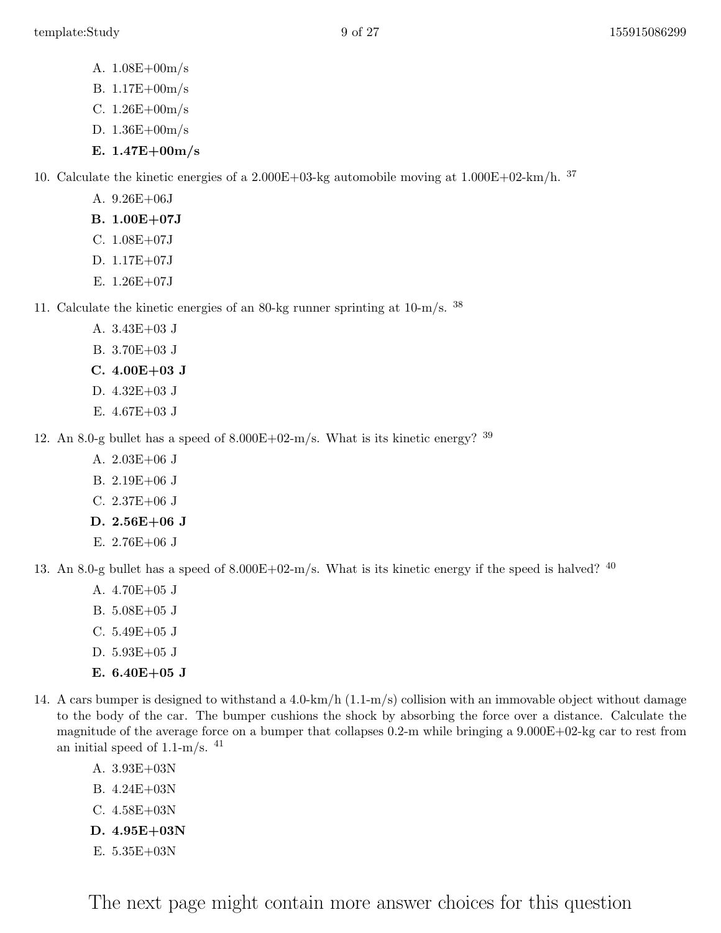- A. 1.08E+00m/s
- B. 1.17E+00m/s
- C. 1.26E+00m/s
- D. 1.36E+00m/s
- E. 1.47E+00m/s

10. Calculate the kinetic energies of a  $2.000E+03$ -kg automobile moving at  $1.000E+02$ -km/h. <sup>37</sup>

- A. 9.26E+06J
- B. 1.00E+07J
- C. 1.08E+07J
- D. 1.17E+07J
- E. 1.26E+07J

11. Calculate the kinetic energies of an 80-kg runner sprinting at 10-m/s. <sup>38</sup>

- A. 3.43E+03 J
- B. 3.70E+03 J
- C. 4.00E+03 J
- D. 4.32E+03 J
- E. 4.67E+03 J

12. An 8.0-g bullet has a speed of  $8.000E+02-m/s$ . What is its kinetic energy? <sup>39</sup>

- A. 2.03E+06 J
- B. 2.19E+06 J
- C. 2.37E+06 J
- D. 2.56E+06 J
- E. 2.76E+06 J

13. An 8.0-g bullet has a speed of  $8.000E+02-m/s$ . What is its kinetic energy if the speed is halved?  $40$ 

- A. 4.70E+05 J
- B. 5.08E+05 J
- C. 5.49E+05 J
- D. 5.93E+05 J
- E. 6.40E+05 J
- 14. A cars bumper is designed to withstand a 4.0-km/h (1.1-m/s) collision with an immovable object without damage to the body of the car. The bumper cushions the shock by absorbing the force over a distance. Calculate the magnitude of the average force on a bumper that collapses 0.2-m while bringing a 9.000E+02-kg car to rest from an initial speed of  $1.1-m/s$ . <sup>41</sup>
	- A. 3.93E+03N
	- B. 4.24E+03N
	- C. 4.58E+03N
	- D. 4.95E+03N
	- E. 5.35E+03N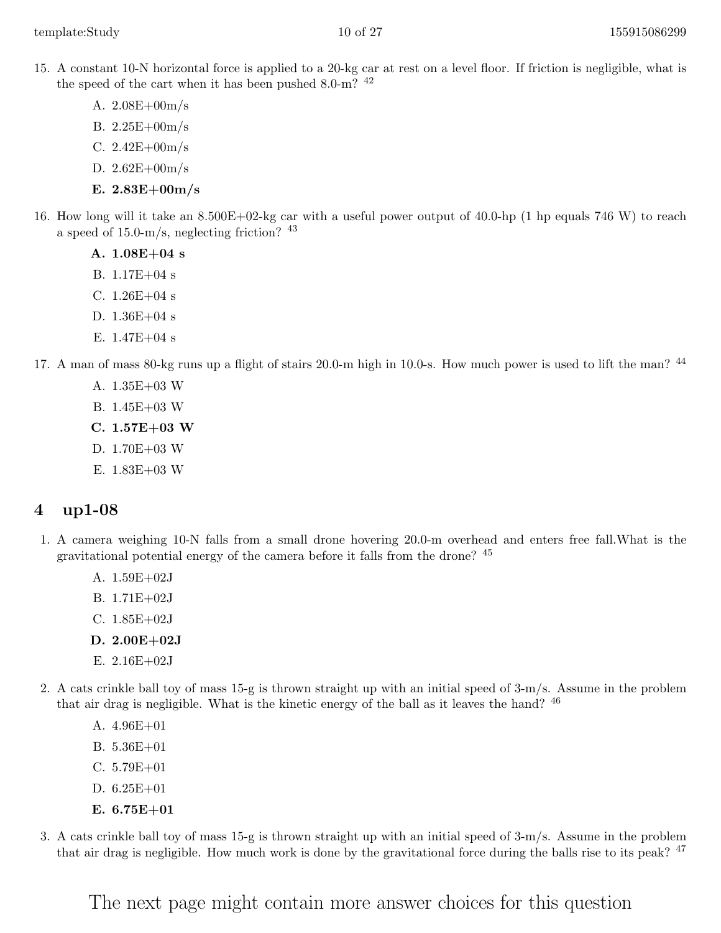- 15. A constant 10-N horizontal force is applied to a 20-kg car at rest on a level floor. If friction is negligible, what is the speed of the cart when it has been pushed  $8.0 \text{-m}$ ?  $42$ 
	- A. 2.08E+00m/s
	- B. 2.25E+00m/s
	- C.  $2.42E + 00m/s$
	- D. 2.62E+00m/s
	- E. 2.83E+00m/s
- 16. How long will it take an 8.500E+02-kg car with a useful power output of 40.0-hp (1 hp equals 746 W) to reach a speed of  $15.0 \text{--} m/s$ , neglecting friction?  $43$ 
	- A. 1.08E+04 s
	- B. 1.17E+04 s
	- C.  $1.26E+04$  s
	- D. 1.36E+04 s
	- E.  $1.47E+04$  s
- 17. A man of mass 80-kg runs up a flight of stairs 20.0-m high in 10.0-s. How much power is used to lift the man? <sup>44</sup>
	- A. 1.35E+03 W
	- B. 1.45E+03 W
	- C. 1.57E+03 W
	- D. 1.70E+03 W
	- E. 1.83E+03 W

- <span id="page-9-0"></span>1. A camera weighing 10-N falls from a small drone hovering 20.0-m overhead and enters free fall.What is the gravitational potential energy of the camera before it falls from the drone? <sup>45</sup>
	- A. 1.59E+02J
	- B. 1.71E+02J
	- C. 1.85E+02J
	- D. 2.00E+02J
	- E. 2.16E+02J
- 2. A cats crinkle ball toy of mass 15-g is thrown straight up with an initial speed of 3-m/s. Assume in the problem that air drag is negligible. What is the kinetic energy of the ball as it leaves the hand? <sup>46</sup>
	- A. 4.96E+01
	- B. 5.36E+01
	- C. 5.79E+01
	- D. 6.25E+01
	- E. 6.75E+01
- 3. A cats crinkle ball toy of mass 15-g is thrown straight up with an initial speed of 3-m/s. Assume in the problem that air drag is negligible. How much work is done by the gravitational force during the balls rise to its peak? <sup>47</sup>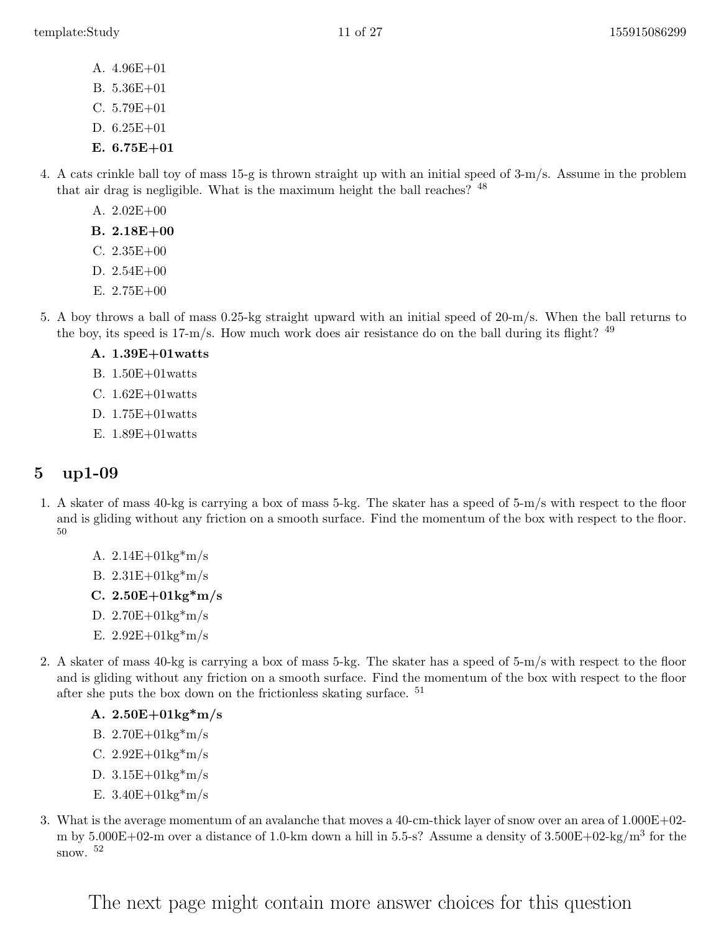- A. 4.96E+01
- B. 5.36E+01
- C. 5.79E+01
- D. 6.25E+01
- E.  $6.75E+01$
- 4. A cats crinkle ball toy of mass 15-g is thrown straight up with an initial speed of 3-m/s. Assume in the problem that air drag is negligible. What is the maximum height the ball reaches? <sup>48</sup>
	- A. 2.02E+00
	- B. 2.18E+00
	- C. 2.35E+00
	- D. 2.54E+00
	- E. 2.75E+00
- 5. A boy throws a ball of mass 0.25-kg straight upward with an initial speed of 20-m/s. When the ball returns to the boy, its speed is  $17\text{-m/s}$ . How much work does air resistance do on the ball during its flight?  $49$ 
	- A. 1.39E+01watts
	- B. 1.50E+01watts
	- C.  $1.62E+01watts$
	- D. 1.75E+01watts
	- E. 1.89E+01watts

- <span id="page-10-0"></span>1. A skater of mass 40-kg is carrying a box of mass 5-kg. The skater has a speed of 5-m/s with respect to the floor and is gliding without any friction on a smooth surface. Find the momentum of the box with respect to the floor. 50
	- A. 2.14E+01kg\*m/s
	- B. 2.31E+01kg\*m/s
	- C.  $2.50E+01kg*m/s$
	- D. 2.70E+01kg\*m/s
	- E.  $2.92E+01kg*m/s$
- 2. A skater of mass 40-kg is carrying a box of mass 5-kg. The skater has a speed of 5-m/s with respect to the floor and is gliding without any friction on a smooth surface. Find the momentum of the box with respect to the floor after she puts the box down on the frictionless skating surface. <sup>51</sup>
	- A. 2.50E+01kg\*m/s
	- B. 2.70E+01kg\*m/s
	- C.  $2.92E+01kg*m/s$
	- D.  $3.15E+01kg*m/s$
	- E.  $3.40E + 01kg* m/s$
- 3. What is the average momentum of an avalanche that moves a 40-cm-thick layer of snow over an area of 1.000E+02 m by  $5.000E+02$ -m over a distance of 1.0-km down a hill in 5.5-s? Assume a density of  $3.500E+02$ -kg/m<sup>3</sup> for the snow. <sup>52</sup>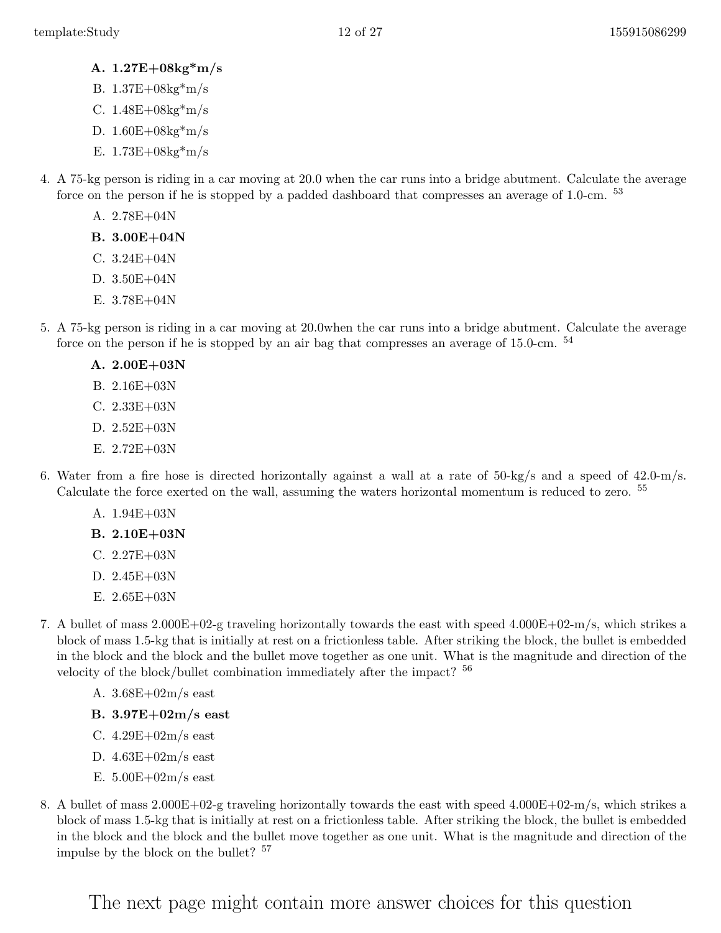- A. 1.27E+08kg\*m/s
- B. 1.37E+08kg\*m/s
- C. 1.48E+08kg\*m/s
- D.  $1.60E + 08kg*m/s$
- E.  $1.73E + 08kg*m/s$
- 4. A 75-kg person is riding in a car moving at 20.0 when the car runs into a bridge abutment. Calculate the average force on the person if he is stopped by a padded dashboard that compresses an average of 1.0-cm. <sup>53</sup>
	- A. 2.78E+04N
	- B. 3.00E+04N
	- C. 3.24E+04N
	- D. 3.50E+04N
	- E. 3.78E+04N
- 5. A 75-kg person is riding in a car moving at 20.0when the car runs into a bridge abutment. Calculate the average force on the person if he is stopped by an air bag that compresses an average of 15.0-cm.  $54$ 
	- A. 2.00E+03N
	- B. 2.16E+03N
	- C. 2.33E+03N
	- D. 2.52E+03N
	- E. 2.72E+03N
- 6. Water from a fire hose is directed horizontally against a wall at a rate of 50-kg/s and a speed of 42.0-m/s. Calculate the force exerted on the wall, assuming the waters horizontal momentum is reduced to zero. <sup>55</sup>
	- A. 1.94E+03N
	- B. 2.10E+03N
	- C. 2.27E+03N
	- D. 2.45E+03N
	- E. 2.65E+03N
- 7. A bullet of mass 2.000E+02-g traveling horizontally towards the east with speed 4.000E+02-m/s, which strikes a block of mass 1.5-kg that is initially at rest on a frictionless table. After striking the block, the bullet is embedded in the block and the block and the bullet move together as one unit. What is the magnitude and direction of the velocity of the block/bullet combination immediately after the impact? <sup>56</sup>
	- A. 3.68E+02m/s east
	- B. 3.97E+02m/s east
	- C.  $4.29E+02m/s$  east
	- D. 4.63E+02m/s east
	- E.  $5.00E+02m/s$  east
- 8. A bullet of mass 2.000E+02-g traveling horizontally towards the east with speed 4.000E+02-m/s, which strikes a block of mass 1.5-kg that is initially at rest on a frictionless table. After striking the block, the bullet is embedded in the block and the block and the bullet move together as one unit. What is the magnitude and direction of the impulse by the block on the bullet? <sup>57</sup>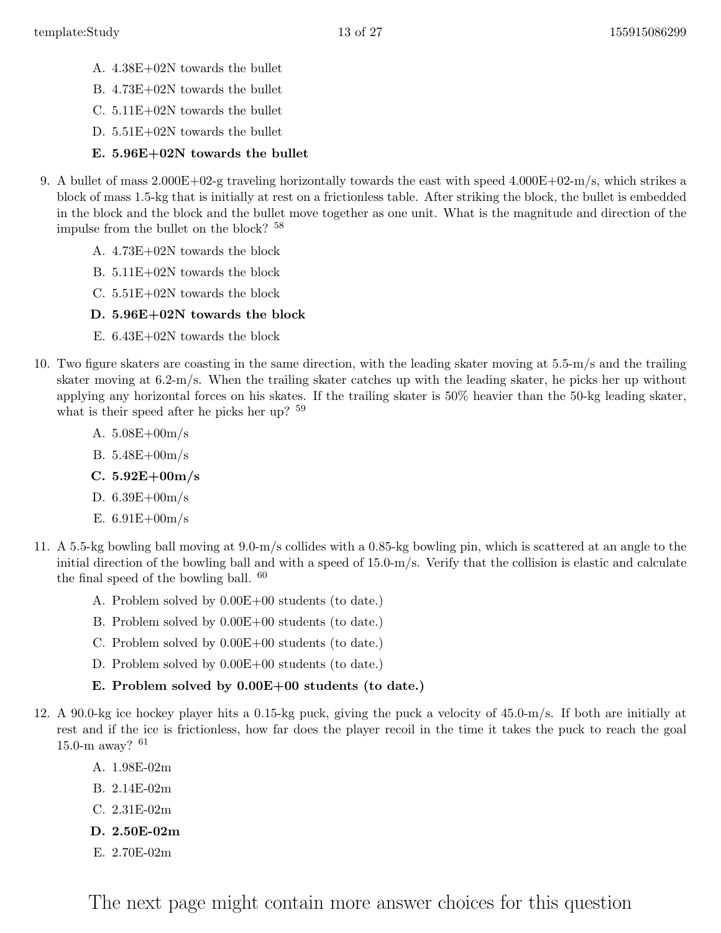- A. 4.38E+02N towards the bullet
- B. 4.73E+02N towards the bullet
- C. 5.11E+02N towards the bullet
- D. 5.51E+02N towards the bullet
- E. 5.96E+02N towards the bullet
- 9. A bullet of mass 2.000E+02-g traveling horizontally towards the east with speed 4.000E+02-m/s, which strikes a block of mass 1.5-kg that is initially at rest on a frictionless table. After striking the block, the bullet is embedded in the block and the block and the bullet move together as one unit. What is the magnitude and direction of the impulse from the bullet on the block? <sup>58</sup>
	- A. 4.73E+02N towards the block
	- B. 5.11E+02N towards the block
	- C. 5.51E+02N towards the block
	- D. 5.96E+02N towards the block
	- E. 6.43E+02N towards the block
- 10. Two figure skaters are coasting in the same direction, with the leading skater moving at 5.5-m/s and the trailing skater moving at 6.2-m/s. When the trailing skater catches up with the leading skater, he picks her up without applying any horizontal forces on his skates. If the trailing skater is 50% heavier than the 50-kg leading skater, what is their speed after he picks her up?  $59$ 
	- A. 5.08E+00m/s
	- B. 5.48E+00m/s
	- C.  $5.92E + 00m/s$
	- D. 6.39E+00m/s
	- E.  $6.91E + 00m/s$
- 11. A 5.5-kg bowling ball moving at 9.0-m/s collides with a 0.85-kg bowling pin, which is scattered at an angle to the initial direction of the bowling ball and with a speed of 15.0-m/s. Verify that the collision is elastic and calculate the final speed of the bowling ball.  $60$ 
	- A. Problem solved by 0.00E+00 students (to date.)
	- B. Problem solved by 0.00E+00 students (to date.)
	- C. Problem solved by 0.00E+00 students (to date.)
	- D. Problem solved by  $0.00E+00$  students (to date.)

#### E. Problem solved by 0.00E+00 students (to date.)

- 12. A 90.0-kg ice hockey player hits a 0.15-kg puck, giving the puck a velocity of 45.0-m/s. If both are initially at rest and if the ice is frictionless, how far does the player recoil in the time it takes the puck to reach the goal 15.0-m away?  $61$ 
	- A. 1.98E-02m
	- B. 2.14E-02m
	- C. 2.31E-02m
	- D. 2.50E-02m
	- E. 2.70E-02m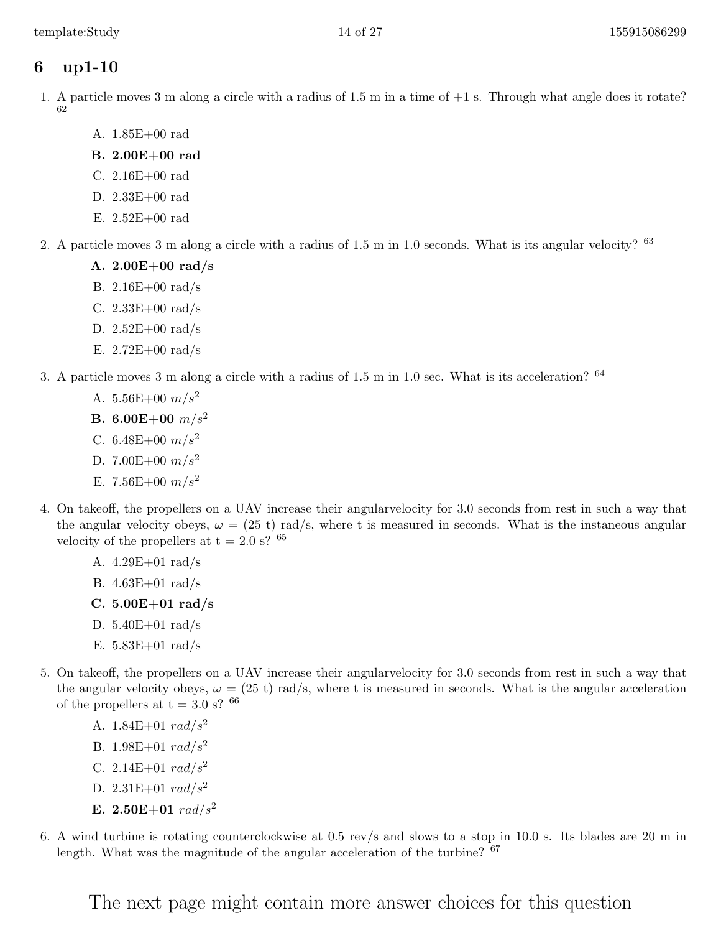- <span id="page-13-0"></span>1. A particle moves 3 m along a circle with a radius of 1.5 m in a time of +1 s. Through what angle does it rotate? 62
	- A. 1.85E+00 rad
	- B. 2.00E+00 rad
	- C. 2.16E+00 rad
	- D. 2.33E+00 rad
	- E. 2.52E+00 rad
- 2. A particle moves 3 m along a circle with a radius of 1.5 m in 1.0 seconds. What is its angular velocity? <sup>63</sup>
	- A. 2.00E+00 rad/s
	- B. 2.16E+00 rad/s
	- C. 2.33E+00 rad/s
	- D. 2.52E+00 rad/s
	- E.  $2.72E+00 \text{ rad/s}$
- 3. A particle moves 3 m along a circle with a radius of 1.5 m in 1.0 sec. What is its acceleration? <sup>64</sup>
	- A. 5.56E+00  $m/s^2$
	- **B.** 6.00E+00  $m/s^2$
	- C.  $6.48E+00 \frac{m}{s^2}$
	- D. 7.00E+00  $m/s^2$
	- E. 7.56E+00  $m/s^2$
- 4. On takeoff, the propellers on a UAV increase their angularvelocity for 3.0 seconds from rest in such a way that the angular velocity obeys,  $\omega = (25 \text{ t}) \text{ rad/s}$ , where t is measured in seconds. What is the instaneous angular velocity of the propellers at t = 2.0 s?  $^{65}$ 
	- A. 4.29E+01 rad/s
	- B. 4.63E+01 rad/s
	- C.  $5.00E + 01$  rad/s
	- D. 5.40E+01 rad/s
	- E. 5.83E+01 rad/s
- 5. On takeoff, the propellers on a UAV increase their angularvelocity for 3.0 seconds from rest in such a way that the angular velocity obeys,  $\omega = (25 \text{ t}) \text{ rad/s}$ , where t is measured in seconds. What is the angular acceleration of the propellers at  $t = 3.0$  s? <sup>66</sup>
	- A. 1.84E+01  $rad/s^2$
	- B. 1.98E+01  $rad/s^2$
	- C. 2.14E+01  $rad/s^2$
	- D. 2.31E+01  $rad/s^2$
	- E.  $2.50E+01 \ rad/s^2$
- 6. A wind turbine is rotating counterclockwise at 0.5 rev/s and slows to a stop in 10.0 s. Its blades are 20 m in length. What was the magnitude of the angular acceleration of the turbine? <sup>67</sup>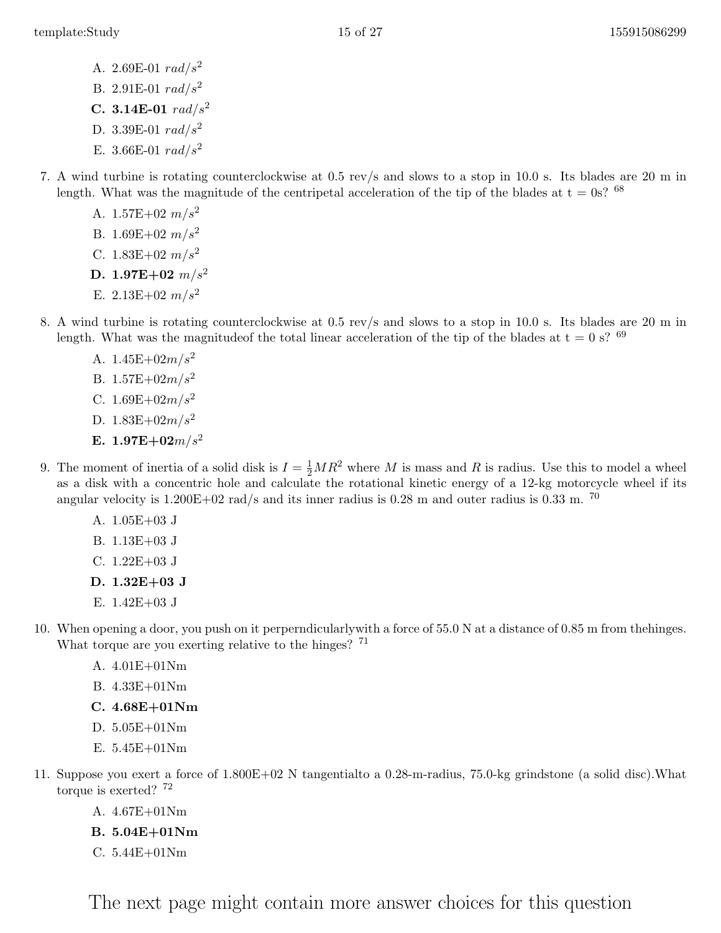- A. 2.69E-01  $rad/s^2$
- B. 2.91E-01  $rad/s^2$
- C. 3.14E-01  $rad/s^2$
- D. 3.39E-01  $rad/s^2$
- E. 3.66E-01  $rad/s^2$
- 7. A wind turbine is rotating counterclockwise at 0.5 rev/s and slows to a stop in 10.0 s. Its blades are 20 m in length. What was the magnitude of the centripetal acceleration of the tip of the blades at  $t = 0s$ ? <sup>68</sup>
	- A.  $1.57E+02 \ m/s^2$
	- B. 1.69E+02  $m/s^2$
	- C. 1.83E+02  $m/s^2$
	- D. 1.97E+02  $m/s^2$
	- E.  $2.13E+02 \ m/s^2$
- 8. A wind turbine is rotating counterclockwise at 0.5 rev/s and slows to a stop in 10.0 s. Its blades are 20 m in length. What was the magnitude of the total linear acceleration of the tip of the blades at  $t = 0$  s? <sup>69</sup>
	- A.  $1.45E+02m/s^2$
	- B.  $1.57E+02m/s^2$
	- C.  $1.69E+02m/s^2$
	- D.  $1.83E+02m/s^2$
	- E.  $1.97E+02m/s^2$
- 9. The moment of inertia of a solid disk is  $I = \frac{1}{2}MR^2$  where M is mass and R is radius. Use this to model a wheel as a disk with a concentric hole and calculate the rotational kinetic energy of a 12-kg motorcycle wheel if its angular velocity is  $1.200E+02$  rad/s and its inner radius is 0.28 m and outer radius is 0.33 m. <sup>70</sup>
	- A. 1.05E+03 J
	- B. 1.13E+03 J
	- C. 1.22E+03 J
	- D. 1.32E+03 J
	- E. 1.42E+03 J
- 10. When opening a door, you push on it perperndicularlywith a force of 55.0 N at a distance of 0.85 m from thehinges. What torque are you exerting relative to the hinges? <sup>71</sup>
	- A. 4.01E+01Nm
	- B. 4.33E+01Nm
	- C. 4.68E+01Nm
	- D. 5.05E+01Nm
	- E. 5.45E+01Nm
- 11. Suppose you exert a force of 1.800E+02 N tangentialto a 0.28-m-radius, 75.0-kg grindstone (a solid disc).What torque is exerted? <sup>72</sup>
	- A. 4.67E+01Nm
	- B. 5.04E+01Nm
	- C. 5.44E+01Nm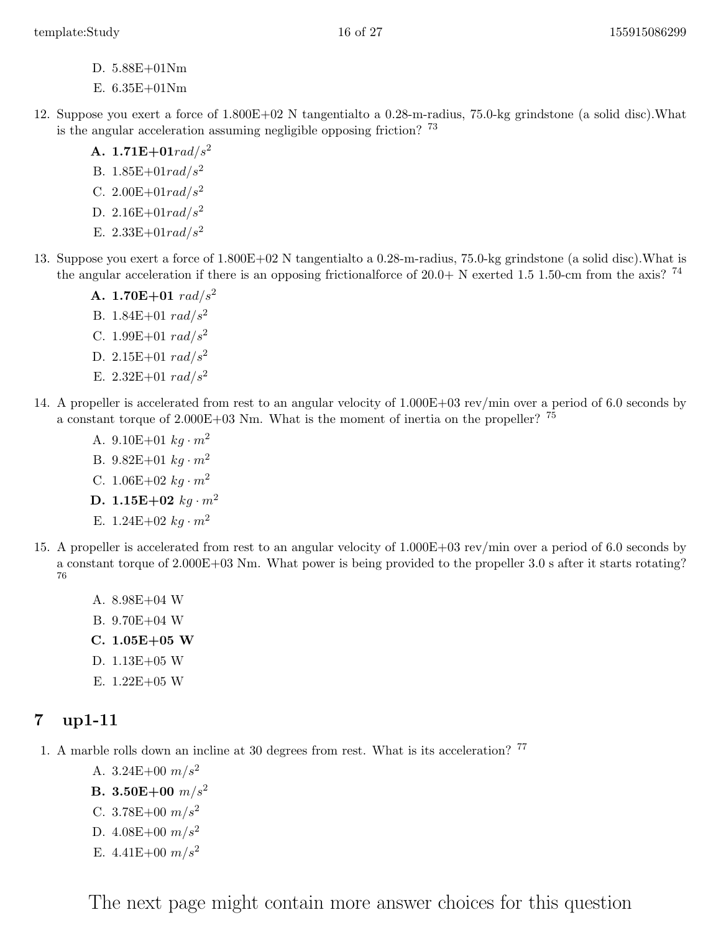- D. 5.88E+01Nm
- E. 6.35E+01Nm
- 12. Suppose you exert a force of 1.800E+02 N tangentialto a 0.28-m-radius, 75.0-kg grindstone (a solid disc).What is the angular acceleration assuming negligible opposing friction? <sup>73</sup>
	- A.  $1.71E+01rad/s^2$
	- B.  $1.85E+01rad/s^2$
	- C.  $2.00E+01rad/s^2$
	- D. 2.16E+01 $rad/s^2$
	- E.  $2.33E+01rad/s^2$
- 13. Suppose you exert a force of 1.800E+02 N tangentialto a 0.28-m-radius, 75.0-kg grindstone (a solid disc).What is the angular acceleration if there is an opposing frictionalforce of  $20.0+$  N exerted 1.5 1.50-cm from the axis? <sup>74</sup>
	- A. 1.70E+01  $rad/s^2$
	- B. 1.84E+01  $rad/s^2$
	- C. 1.99 $E+01$  rad/ $s^2$
	- D. 2.15E+01  $rad/s^2$
	- E. 2.32E+01  $rad/s^2$
- 14. A propeller is accelerated from rest to an angular velocity of 1.000E+03 rev/min over a period of 6.0 seconds by a constant torque of  $2.000E+03$  Nm. What is the moment of inertia on the propeller? <sup>75</sup>
	- A. 9.10E+01  $kg \cdot m^2$
	- B.  $9.82E+01 kg \cdot m^2$
	- C.  $1.06E+02 kg \cdot m^2$
	- D. 1.15E+02  $kg \cdot m^2$
	- E.  $1.24E+02 kg \cdot m^2$
- 15. A propeller is accelerated from rest to an angular velocity of 1.000E+03 rev/min over a period of 6.0 seconds by a constant torque of 2.000E+03 Nm. What power is being provided to the propeller 3.0 s after it starts rotating? 76
	- A. 8.98E+04 W
	- B. 9.70E+04 W
	- C. 1.05E+05 W
	- D. 1.13E+05 W
	- E. 1.22E+05 W

<span id="page-15-0"></span>1. A marble rolls down an incline at 30 degrees from rest. What is its acceleration? <sup>77</sup>

- A. 3.24E+00  $m/s^2$
- **B.** 3.50E+00  $m/s^2$
- C.  $3.78E+00 \frac{m}{s^2}$
- D.  $4.08E+00 \frac{m}{s^2}$
- E.  $4.41E+00 \frac{m}{s^2}$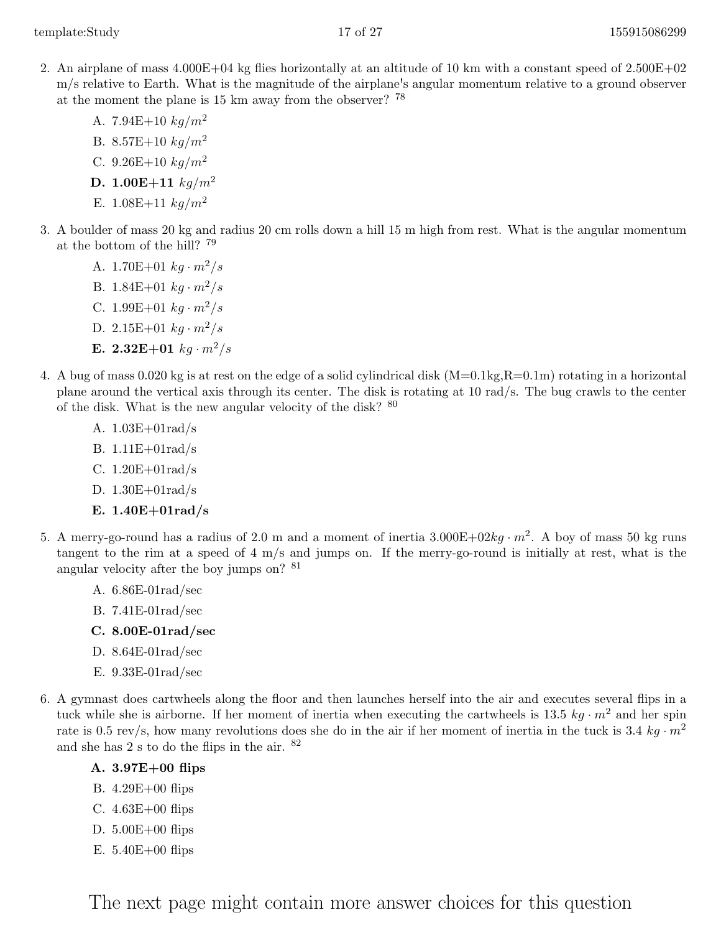- 2. An airplane of mass 4.000E+04 kg flies horizontally at an altitude of 10 km with a constant speed of 2.500E+02 m/s relative to Earth. What is the magnitude of the airplane's angular momentum relative to a ground observer at the moment the plane is 15 km away from the observer? <sup>78</sup>
	- A. 7.94E+10  $kg/m^2$ B. 8.57E+10  $kg/m^2$ C. 9.26E+10  $kg/m^2$ D. 1.00E+11  $kg/m^2$ E. 1.08E+11  $kq/m^2$
- 3. A boulder of mass 20 kg and radius 20 cm rolls down a hill 15 m high from rest. What is the angular momentum at the bottom of the hill? <sup>79</sup>
	- A. 1.70E+01  $kq \cdot m^2/s$ B. 1.84E+01  $kg \cdot m^2/s$
	- C. 1.99E+01  $kq \cdot m^2/s$
	- D. 2.15E+01  $kg \cdot m^2/s$
	- E. 2.32E+01  $kg \cdot m^2/s$
- 4. A bug of mass 0.020 kg is at rest on the edge of a solid cylindrical disk  $(M=0.1kg,R=0.1m)$  rotating in a horizontal plane around the vertical axis through its center. The disk is rotating at 10 rad/s. The bug crawls to the center of the disk. What is the new angular velocity of the disk?  $^{\,80}$ 
	- A. 1.03E+01rad/s
	- B. 1.11E+01rad/s
	- C. 1.20E+01rad/s
	- D. 1.30E+01rad/s
	- E. 1.40E+01rad/s
- 5. A merry-go-round has a radius of 2.0 m and a moment of inertia  $3.000E+02kg \cdot m^2$ . A boy of mass 50 kg runs tangent to the rim at a speed of 4 m/s and jumps on. If the merry-go-round is initially at rest, what is the angular velocity after the boy jumps on? <sup>81</sup>
	- A. 6.86E-01rad/sec
	- B. 7.41E-01rad/sec
	- C. 8.00E-01rad/sec
	- D. 8.64E-01rad/sec
	- E. 9.33E-01rad/sec
- 6. A gymnast does cartwheels along the floor and then launches herself into the air and executes several flips in a tuck while she is airborne. If her moment of inertia when executing the cartwheels is  $13.5\ kg \cdot m^2$  and her spin rate is 0.5 rev/s, how many revolutions does she do in the air if her moment of inertia in the tuck is 3.4 kg  $\cdot m^2$ and she has 2 s to do the flips in the air. <sup>82</sup>
	- A. 3.97E+00 flips
	- B. 4.29E+00 flips
	- C. 4.63E+00 flips
	- D. 5.00E+00 flips
	- E. 5.40E+00 flips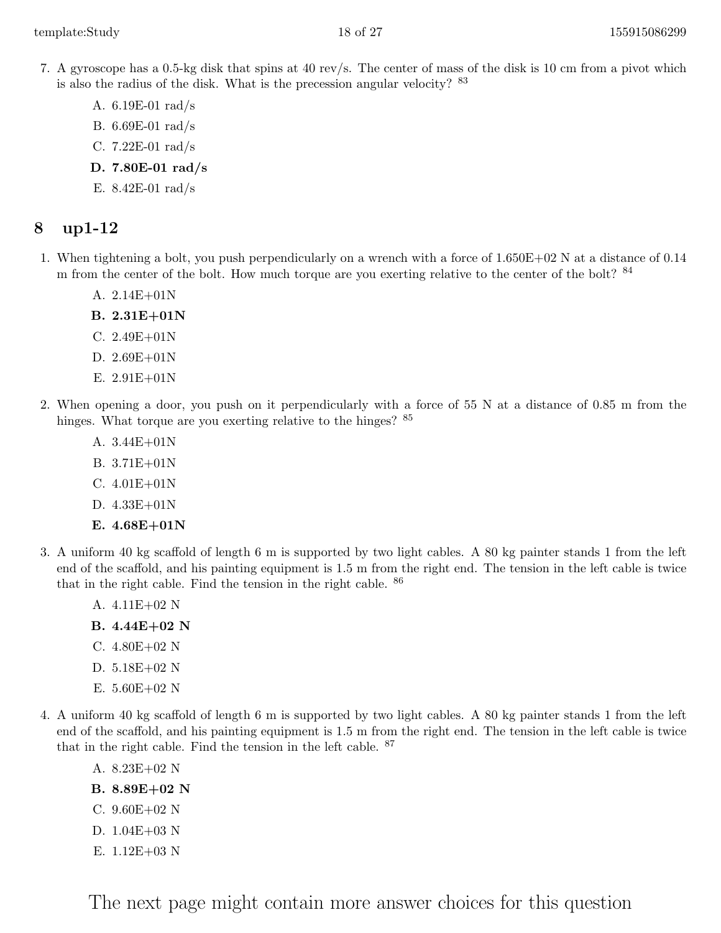- 7. A gyroscope has a 0.5-kg disk that spins at 40 rev/s. The center of mass of the disk is 10 cm from a pivot which is also the radius of the disk. What is the precession angular velocity?  $83$ 
	- A. 6.19E-01 rad/s
	- B. 6.69E-01 rad/s
	- C. 7.22E-01 rad/s
	- D. 7.80E-01 rad/s
	- E. 8.42E-01 rad/s

- <span id="page-17-0"></span>1. When tightening a bolt, you push perpendicularly on a wrench with a force of 1.650E+02 N at a distance of 0.14 m from the center of the bolt. How much torque are you exerting relative to the center of the bolt? <sup>84</sup>
	- A. 2.14E+01N
	- B. 2.31E+01N
	- C. 2.49E+01N
	- D. 2.69E+01N
	- E. 2.91E+01N
- 2. When opening a door, you push on it perpendicularly with a force of 55 N at a distance of 0.85 m from the hinges. What torque are you exerting relative to the hinges?  $85$ 
	- A. 3.44E+01N
	- B. 3.71E+01N
	- C. 4.01E+01N
	- D. 4.33E+01N
	- E. 4.68E+01N
- 3. A uniform 40 kg scaffold of length 6 m is supported by two light cables. A 80 kg painter stands 1 from the left end of the scaffold, and his painting equipment is 1.5 m from the right end. The tension in the left cable is twice that in the right cable. Find the tension in the right cable. <sup>86</sup>
	- A. 4.11E+02 N
	- B. 4.44E+02 N
	- C. 4.80E+02 N
	- D. 5.18E+02 N
	- E. 5.60E+02 N
- 4. A uniform 40 kg scaffold of length 6 m is supported by two light cables. A 80 kg painter stands 1 from the left end of the scaffold, and his painting equipment is 1.5 m from the right end. The tension in the left cable is twice that in the right cable. Find the tension in the left cable. <sup>87</sup>
	- A. 8.23E+02 N
	- B. 8.89E+02 N
	- C. 9.60E+02 N
	- D. 1.04E+03 N
	- E. 1.12E+03 N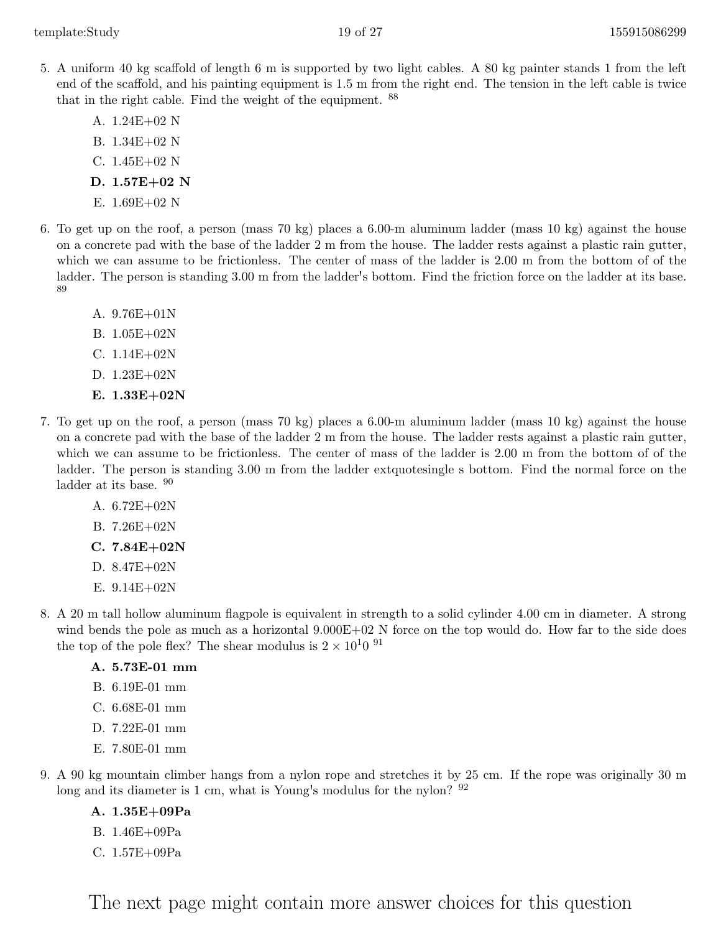- 5. A uniform 40 kg scaffold of length 6 m is supported by two light cables. A 80 kg painter stands 1 from the left end of the scaffold, and his painting equipment is 1.5 m from the right end. The tension in the left cable is twice that in the right cable. Find the weight of the equipment. <sup>88</sup>
	- A. 1.24E+02 N
	- B. 1.34E+02 N
	- C. 1.45E+02 N
	- D. 1.57E+02 N
	- E. 1.69E+02 N
- 6. To get up on the roof, a person (mass 70 kg) places a 6.00-m aluminum ladder (mass 10 kg) against the house on a concrete pad with the base of the ladder 2 m from the house. The ladder rests against a plastic rain gutter, which we can assume to be frictionless. The center of mass of the ladder is 2.00 m from the bottom of of the ladder. The person is standing 3.00 m from the ladder's bottom. Find the friction force on the ladder at its base. 89
	- A. 9.76E+01N
	- B. 1.05E+02N
	- C. 1.14E+02N
	- D. 1.23E+02N
	- E. 1.33E+02N
- 7. To get up on the roof, a person (mass 70 kg) places a 6.00-m aluminum ladder (mass 10 kg) against the house on a concrete pad with the base of the ladder 2 m from the house. The ladder rests against a plastic rain gutter, which we can assume to be frictionless. The center of mass of the ladder is 2.00 m from the bottom of of the ladder. The person is standing 3.00 m from the ladder extquotesingle s bottom. Find the normal force on the ladder at its base.  $90$ 
	- A. 6.72E+02N
	- B. 7.26E+02N
	- $C. 7.84E + 02N$
	- D. 8.47E+02N
	- E. 9.14E+02N
- 8. A 20 m tall hollow aluminum flagpole is equivalent in strength to a solid cylinder 4.00 cm in diameter. A strong wind bends the pole as much as a horizontal  $9.000E+02$  N force on the top would do. How far to the side does the top of the pole flex? The shear modulus is  $2 \times 10^{10}$  <sup>91</sup>

#### A. 5.73E-01 mm

- B. 6.19E-01 mm
- C. 6.68E-01 mm
- D. 7.22E-01 mm
- E. 7.80E-01 mm
- 9. A 90 kg mountain climber hangs from a nylon rope and stretches it by 25 cm. If the rope was originally 30 m long and its diameter is 1 cm, what is Young's modulus for the nylon? <sup>92</sup>
	- A. 1.35E+09Pa
	- B. 1.46E+09Pa
	- C. 1.57E+09Pa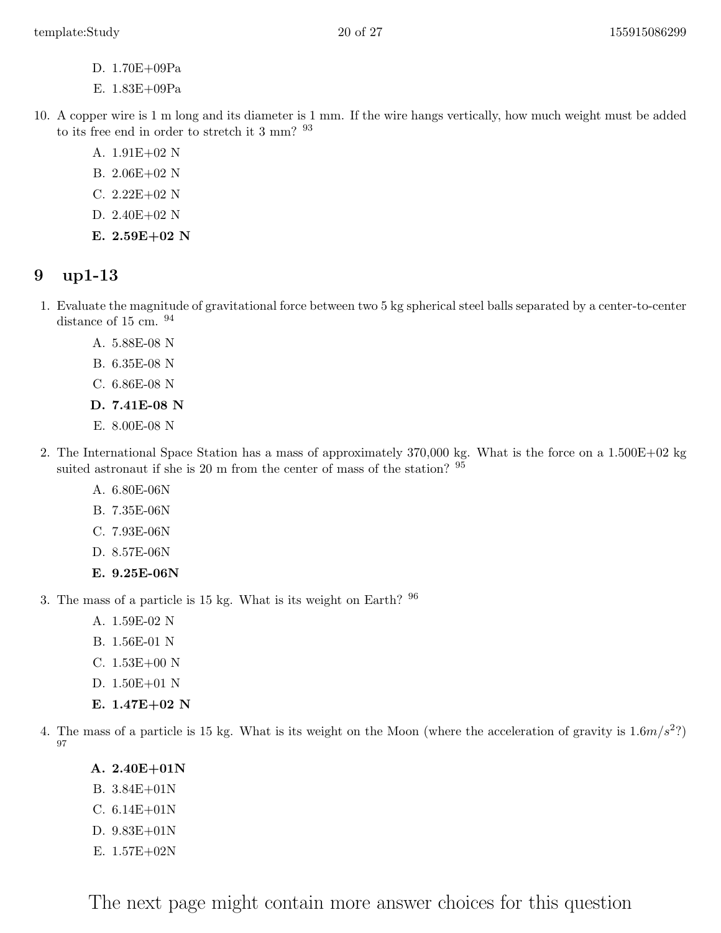- D. 1.70E+09Pa
- E. 1.83E+09Pa
- 10. A copper wire is 1 m long and its diameter is 1 mm. If the wire hangs vertically, how much weight must be added to its free end in order to stretch it 3 mm?  $^{93}$ 
	- A. 1.91E+02 N
	- B. 2.06E+02 N
	- C. 2.22E+02 N
	- D. 2.40E+02 N
	- E.  $2.59E+02$  N

- <span id="page-19-0"></span>1. Evaluate the magnitude of gravitational force between two 5 kg spherical steel balls separated by a center-to-center distance of 15 cm.  $94$ 
	- A. 5.88E-08 N
	- B. 6.35E-08 N
	- C. 6.86E-08 N
	- D. 7.41E-08 N
	- E. 8.00E-08 N
- 2. The International Space Station has a mass of approximately 370,000 kg. What is the force on a 1.500E+02 kg suited astronaut if she is 20 m from the center of mass of the station? <sup>95</sup>
	- A. 6.80E-06N
	- B. 7.35E-06N
	- C. 7.93E-06N
	- D. 8.57E-06N
	- E. 9.25E-06N

3. The mass of a particle is 15 kg. What is its weight on Earth? <sup>96</sup>

- A. 1.59E-02 N
- B. 1.56E-01 N
- C. 1.53E+00 N
- D. 1.50E+01 N
- E.  $1.47E+02$  N
- 4. The mass of a particle is 15 kg. What is its weight on the Moon (where the acceleration of gravity is  $1.6m/s^2$ ?) 97
	- A. 2.40E+01N
	- B. 3.84E+01N
	- C. 6.14E+01N
	- D. 9.83E+01N
	- E. 1.57E+02N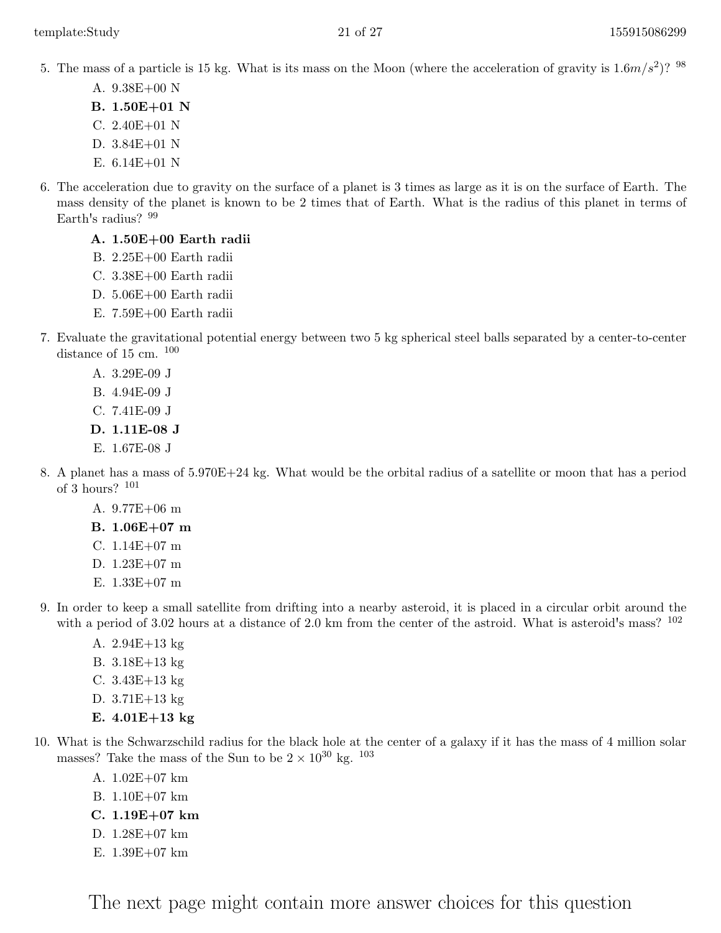5. The mass of a particle is 15 kg. What is its mass on the Moon (where the acceleration of gravity is  $1.6m/s^2$ )? <sup>98</sup>

- A. 9.38E+00 N
- B. 1.50E+01 N
- C. 2.40E+01 N
- D. 3.84E+01 N
- E. 6.14E+01 N
- 6. The acceleration due to gravity on the surface of a planet is 3 times as large as it is on the surface of Earth. The mass density of the planet is known to be 2 times that of Earth. What is the radius of this planet in terms of Earth's radius? <sup>99</sup>

#### A. 1.50E+00 Earth radii

- B. 2.25E+00 Earth radii
- C. 3.38E+00 Earth radii
- D. 5.06E+00 Earth radii
- E. 7.59E+00 Earth radii
- 7. Evaluate the gravitational potential energy between two 5 kg spherical steel balls separated by a center-to-center distance of 15 cm.  $100$ 
	- A. 3.29E-09 J
	- B. 4.94E-09 J
	- C. 7.41E-09 J
	- D. 1.11E-08 J
	- E. 1.67E-08 J
- 8. A planet has a mass of 5.970E+24 kg. What would be the orbital radius of a satellite or moon that has a period of 3 hours? <sup>101</sup>
	- A. 9.77E+06 m
	- B. 1.06E+07 m
	- C. 1.14E+07 m
	- D. 1.23E+07 m
	- E. 1.33E+07 m
- 9. In order to keep a small satellite from drifting into a nearby asteroid, it is placed in a circular orbit around the with a period of 3.02 hours at a distance of 2.0 km from the center of the astroid. What is asteroid's mass?  $^{102}$ 
	- A. 2.94E+13 kg
	- B. 3.18E+13 kg
	- C. 3.43E+13 kg
	- D. 3.71E+13 kg
	- E.  $4.01E + 13 kg$
- 10. What is the Schwarzschild radius for the black hole at the center of a galaxy if it has the mass of 4 million solar masses? Take the mass of the Sun to be  $2\times 10^{30}$  kg.  $^{103}$ 
	- A. 1.02E+07 km
	- B. 1.10E+07 km
	- C. 1.19E+07 km
	- D. 1.28E+07 km
	- E. 1.39E+07 km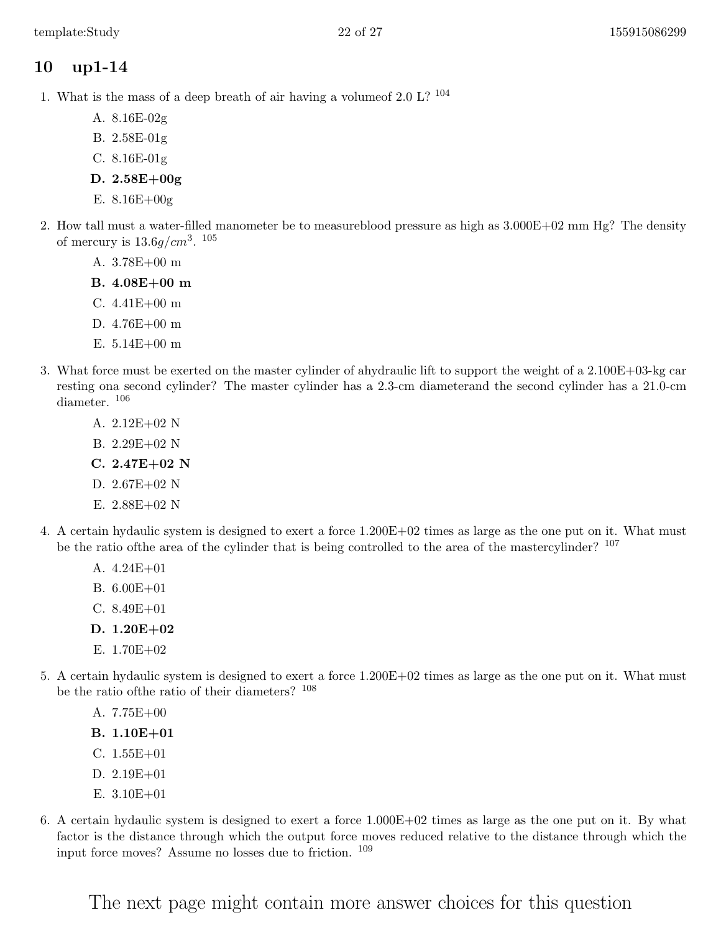- <span id="page-21-0"></span>1. What is the mass of a deep breath of air having a volumeof 2.0 L? <sup>104</sup>
	- A. 8.16E-02g
	- B. 2.58E-01g
	- C. 8.16E-01g
	- D. 2.58E+00g
	- E. 8.16E+00g
- 2. How tall must a water-filled manometer be to measureblood pressure as high as 3.000E+02 mm Hg? The density of mercury is  $13.6g/cm^3$ .  $105$ 
	- A. 3.78E+00 m
	- B. 4.08E+00 m
	- C. 4.41E+00 m
	- D. 4.76E+00 m
	- E. 5.14E+00 m
- 3. What force must be exerted on the master cylinder of ahydraulic lift to support the weight of a 2.100E+03-kg car resting ona second cylinder? The master cylinder has a 2.3-cm diameterand the second cylinder has a 21.0-cm diameter. <sup>106</sup>
	- A. 2.12E+02 N
	- B. 2.29E+02 N
	- $C. 2.47E + 02N$
	- D. 2.67E+02 N
	- E. 2.88E+02 N
- 4. A certain hydaulic system is designed to exert a force 1.200E+02 times as large as the one put on it. What must be the ratio of the area of the cylinder that is being controlled to the area of the mastercylinder?  $107$ 
	- A. 4.24E+01
	- B. 6.00E+01
	- C. 8.49E+01
	- D. 1.20E+02
	- E. 1.70E+02
- 5. A certain hydaulic system is designed to exert a force 1.200E+02 times as large as the one put on it. What must be the ratio ofthe ratio of their diameters? <sup>108</sup>
	- A. 7.75E+00
	- B. 1.10E+01
	- C. 1.55E+01
	- D. 2.19E+01
	- E. 3.10E+01
- 6. A certain hydaulic system is designed to exert a force 1.000E+02 times as large as the one put on it. By what factor is the distance through which the output force moves reduced relative to the distance through which the input force moves? Assume no losses due to friction. <sup>109</sup>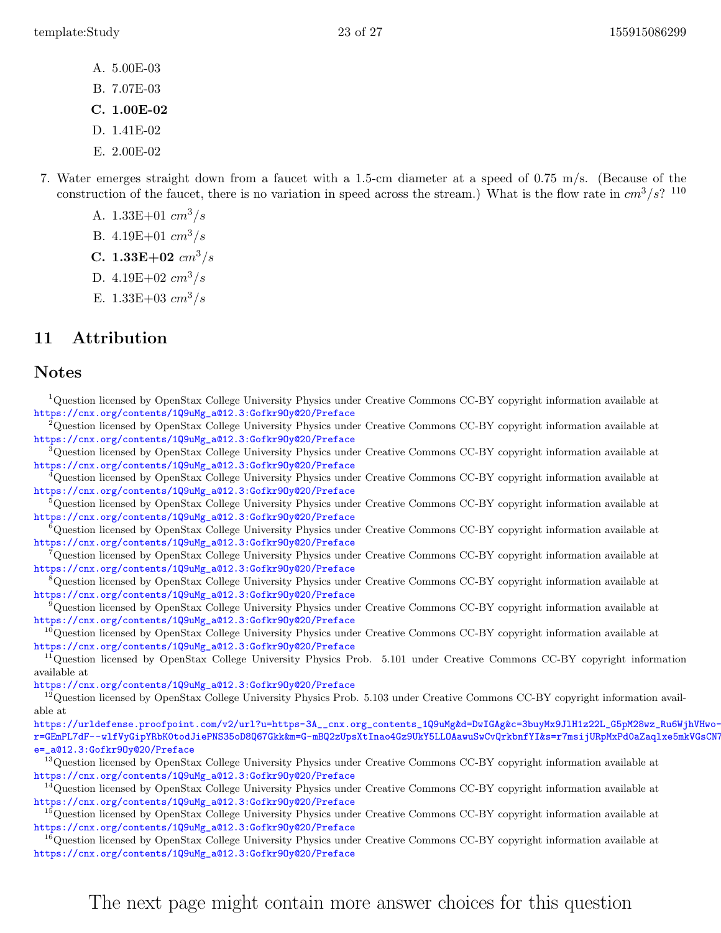- A. 5.00E-03
- B. 7.07E-03
- C. 1.00E-02
- D. 1.41E-02
- E. 2.00E-02
- 7. Water emerges straight down from a faucet with a 1.5-cm diameter at a speed of 0.75 m/s. (Because of the construction of the faucet, there is no variation in speed across the stream.) What is the flow rate in  $cm^3/s$ ? <sup>110</sup>
	- A.  $1.33E+01$  cm<sup>3</sup>/s
	- B.  $4.19E+01$   $cm^3/s$
	- C.  $1.33E+02$  cm<sup>3</sup>/s
	- D.  $4.19E+02 \, cm^3/s$
	- E.  $1.33E+03$  cm<sup>3</sup>/s

## <span id="page-22-0"></span>11 Attribution

#### Notes

<sup>1</sup>Question licensed by OpenStax College University Physics under Creative Commons CC-BY copyright information available at [https://cnx.org/contents/1Q9uMg\\_a@12.3:Gofkr9Oy@20/Preface](https://cnx.org/contents/1Q9uMg_a@12.3:Gofkr9Oy@20/Preface) <sup>2</sup>Question licensed by OpenStax College University Physics under Creative Commons CC-BY copyright information available at [https://cnx.org/contents/1Q9uMg\\_a@12.3:Gofkr9Oy@20/Preface](https://cnx.org/contents/1Q9uMg_a@12.3:Gofkr9Oy@20/Preface) <sup>3</sup>Question licensed by OpenStax College University Physics under Creative Commons CC-BY copyright information available at [https://cnx.org/contents/1Q9uMg\\_a@12.3:Gofkr9Oy@20/Preface](https://cnx.org/contents/1Q9uMg_a@12.3:Gofkr9Oy@20/Preface) <sup>4</sup>Question licensed by OpenStax College University Physics under Creative Commons CC-BY copyright information available at [https://cnx.org/contents/1Q9uMg\\_a@12.3:Gofkr9Oy@20/Preface](https://cnx.org/contents/1Q9uMg_a@12.3:Gofkr9Oy@20/Preface) <sup>5</sup>Question licensed by OpenStax College University Physics under Creative Commons CC-BY copyright information available at [https://cnx.org/contents/1Q9uMg\\_a@12.3:Gofkr9Oy@20/Preface](https://cnx.org/contents/1Q9uMg_a@12.3:Gofkr9Oy@20/Preface) <sup>6</sup>Question licensed by OpenStax College University Physics under Creative Commons CC-BY copyright information available at [https://cnx.org/contents/1Q9uMg\\_a@12.3:Gofkr9Oy@20/Preface](https://cnx.org/contents/1Q9uMg_a@12.3:Gofkr9Oy@20/Preface) <sup>7</sup>Question licensed by OpenStax College University Physics under Creative Commons CC-BY copyright information available at [https://cnx.org/contents/1Q9uMg\\_a@12.3:Gofkr9Oy@20/Preface](https://cnx.org/contents/1Q9uMg_a@12.3:Gofkr9Oy@20/Preface) <sup>8</sup>Question licensed by OpenStax College University Physics under Creative Commons CC-BY copyright information available at [https://cnx.org/contents/1Q9uMg\\_a@12.3:Gofkr9Oy@20/Preface](https://cnx.org/contents/1Q9uMg_a@12.3:Gofkr9Oy@20/Preface) <sup>9</sup>Question licensed by OpenStax College University Physics under Creative Commons CC-BY copyright information available at [https://cnx.org/contents/1Q9uMg\\_a@12.3:Gofkr9Oy@20/Preface](https://cnx.org/contents/1Q9uMg_a@12.3:Gofkr9Oy@20/Preface) <sup>10</sup>Question licensed by OpenStax College University Physics under Creative Commons CC-BY copyright information available at [https://cnx.org/contents/1Q9uMg\\_a@12.3:Gofkr9Oy@20/Preface](https://cnx.org/contents/1Q9uMg_a@12.3:Gofkr9Oy@20/Preface) <sup>11</sup>Question licensed by OpenStax College University Physics Prob. 5.101 under Creative Commons CC-BY copyright information available at [https://cnx.org/contents/1Q9uMg\\_a@12.3:Gofkr9Oy@20/Preface](https://cnx.org/contents/1Q9uMg_a@12.3:Gofkr9Oy@20/Preface)  $^{12}$ Question licensed by OpenStax College University Physics Prob. 5.103 under Creative Commons CC-BY copyright information available at [https://urldefense.proofpoint.com/v2/url?u=https-3A\\_\\_cnx.org\\_contents\\_1Q9uMg&d=DwIGAg&c=3buyMx9JlH1z22L\\_G5pM28wz\\_Ru6Wj](https://urldefense.proofpoint.com/v2/url?u=https-3A__cnx.org_contents_1Q9uMg&d=DwIGAg&c=3buyMx9JlH1z22L_G5pM28wz_Ru6WjhVHwo-vpeS0Gk&r=GEmPL7dF--wlfVyGipYRbK0todJiePNS35oD8Q67Gkk&m=G-mBQ2zUpsXtInao4Gz9UkY5LLOAawuSwCvQrkbnfYI&s=r7msijURpMxPd0aZaqlxe5mkVGsCN7YxVT8mcmNIscA&e=_a@12.3:Gofkr9Oy@20/Preface)hVHwo[r=GEmPL7dF--wlfVyGipYRbK0todJiePNS35oD8Q67Gkk&m=G-mBQ2zUpsXtInao4Gz9UkY5LLOAawuSwCvQrkbnfYI&s=r7msijURpMxPd0aZaqlxe5mk](https://urldefense.proofpoint.com/v2/url?u=https-3A__cnx.org_contents_1Q9uMg&d=DwIGAg&c=3buyMx9JlH1z22L_G5pM28wz_Ru6WjhVHwo-vpeS0Gk&r=GEmPL7dF--wlfVyGipYRbK0todJiePNS35oD8Q67Gkk&m=G-mBQ2zUpsXtInao4Gz9UkY5LLOAawuSwCvQrkbnfYI&s=r7msijURpMxPd0aZaqlxe5mkVGsCN7YxVT8mcmNIscA&e=_a@12.3:Gofkr9Oy@20/Preface)VGsCN7 [e=\\_a@12.3:Gofkr9Oy@20/Preface](https://urldefense.proofpoint.com/v2/url?u=https-3A__cnx.org_contents_1Q9uMg&d=DwIGAg&c=3buyMx9JlH1z22L_G5pM28wz_Ru6WjhVHwo-vpeS0Gk&r=GEmPL7dF--wlfVyGipYRbK0todJiePNS35oD8Q67Gkk&m=G-mBQ2zUpsXtInao4Gz9UkY5LLOAawuSwCvQrkbnfYI&s=r7msijURpMxPd0aZaqlxe5mkVGsCN7YxVT8mcmNIscA&e=_a@12.3:Gofkr9Oy@20/Preface) <sup>13</sup>Question licensed by OpenStax College University Physics under Creative Commons CC-BY copyright information available at [https://cnx.org/contents/1Q9uMg\\_a@12.3:Gofkr9Oy@20/Preface](https://cnx.org/contents/1Q9uMg_a@12.3:Gofkr9Oy@20/Preface)  $14$ Question licensed by OpenStax College University Physics under Creative Commons CC-BY copyright information available at [https://cnx.org/contents/1Q9uMg\\_a@12.3:Gofkr9Oy@20/Preface](https://cnx.org/contents/1Q9uMg_a@12.3:Gofkr9Oy@20/Preface) <sup>15</sup>Question licensed by OpenStax College University Physics under Creative Commons CC-BY copyright information available at [https://cnx.org/contents/1Q9uMg\\_a@12.3:Gofkr9Oy@20/Preface](https://cnx.org/contents/1Q9uMg_a@12.3:Gofkr9Oy@20/Preface) <sup>16</sup>Question licensed by OpenStax College University Physics under Creative Commons CC-BY copyright information available at [https://cnx.org/contents/1Q9uMg\\_a@12.3:Gofkr9Oy@20/Preface](https://cnx.org/contents/1Q9uMg_a@12.3:Gofkr9Oy@20/Preface)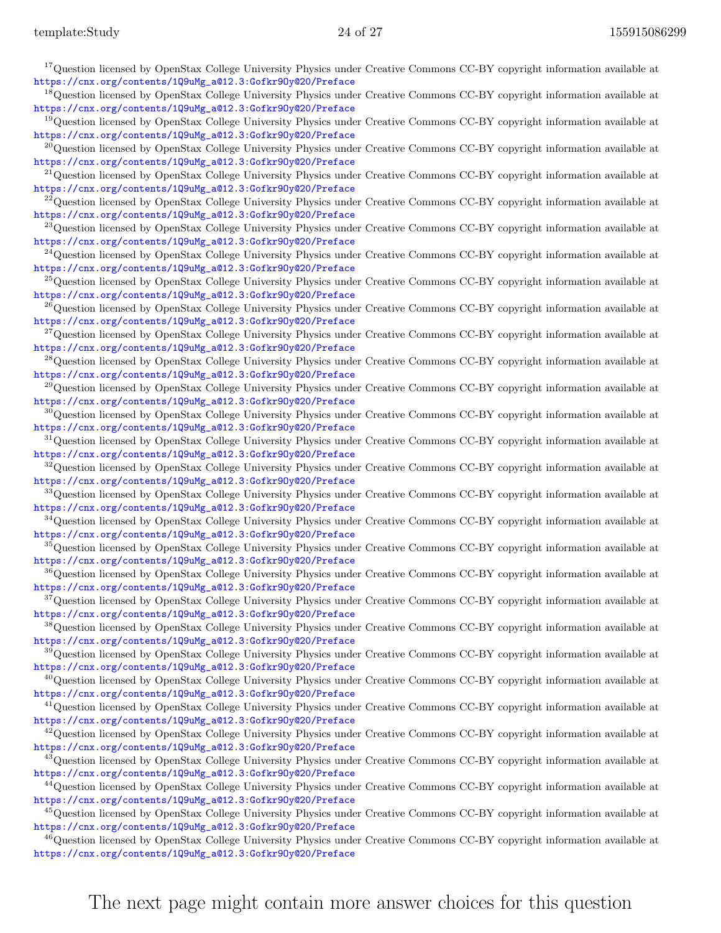| <sup>17</sup> Question licensed by OpenStax College University Physics under Creative Commons CC-BY copyright information available at                                                               |
|------------------------------------------------------------------------------------------------------------------------------------------------------------------------------------------------------|
| https://cnx.org/contents/1Q9uMg_a@12.3:Gofkr90y@20/Preface<br><sup>18</sup> Question licensed by OpenStax College University Physics under Creative Commons CC-BY copyright information available at |
| https://cnx.org/contents/1Q9uMg_a@12.3:Gofkr90y@20/Preface                                                                                                                                           |
| <sup>19</sup> Question licensed by OpenStax College University Physics under Creative Commons CC-BY copyright information available at<br>https://cnx.org/contents/1Q9uMg_a@12.3:Gofkr90y@20/Preface |
| $^{20}$ Question licensed by OpenStax College University Physics under Creative Commons CC-BY copyright information available at                                                                     |
| https://cnx.org/contents/1Q9uMg_a@12.3:Gofkr90y@20/Preface                                                                                                                                           |
| $^{21}$ Question licensed by OpenStax College University Physics under Creative Commons CC-BY copyright information available at<br>https://cnx.org/contents/1Q9uMg_a@12.3:Gofkr90y@20/Preface       |
| <sup>22</sup> Question licensed by OpenStax College University Physics under Creative Commons CC-BY copyright information available at                                                               |
| https://cnx.org/contents/1Q9uMg_a@12.3:Gofkr90y@20/Preface                                                                                                                                           |
| <sup>23</sup> Question licensed by OpenStax College University Physics under Creative Commons CC-BY copyright information available at<br>https://cnx.org/contents/1Q9uMg_a@12.3:Gofkr90y@20/Preface |
| <sup>24</sup> Question licensed by OpenStax College University Physics under Creative Commons CC-BY copyright information available at                                                               |
| https://cnx.org/contents/1Q9uMg_a@12.3:Gofkr90y@20/Preface<br><sup>25</sup> Question licensed by OpenStax College University Physics under Creative Commons CC-BY copyright information available at |
| https://cnx.org/contents/1Q9uMg_a@12.3:Gofkr90y@20/Preface                                                                                                                                           |
| $^{26}$ Question licensed by OpenStax College University Physics under Creative Commons CC-BY copyright information available at                                                                     |
| https://cnx.org/contents/1Q9uMg_a@12.3:Gofkr90y@20/Preface<br><sup>27</sup> Question licensed by OpenStax College University Physics under Creative Commons CC-BY copyright information available at |
| https://cnx.org/contents/1Q9uMg_a@12.3:Gofkr90y@20/Preface                                                                                                                                           |
| <sup>28</sup> Question licensed by OpenStax College University Physics under Creative Commons CC-BY copyright information available at                                                               |
| https://cnx.org/contents/1Q9uMg_a@12.3:Gofkr90y@20/Preface<br><sup>29</sup> Question licensed by OpenStax College University Physics under Creative Commons CC-BY copyright information available at |
| https://cnx.org/contents/1Q9uMg_a@12.3:Gofkr90y@20/Preface                                                                                                                                           |
| $30$ Question licensed by OpenStax College University Physics under Creative Commons CC-BY copyright information available at<br>https://cnx.org/contents/1Q9uMg_a@12.3:Gofkr90y@20/Preface          |
| <sup>31</sup> Question licensed by OpenStax College University Physics under Creative Commons CC-BY copyright information available at                                                               |
| https://cnx.org/contents/1Q9uMg_a@12.3:Gofkr90y@20/Preface                                                                                                                                           |
| <sup>32</sup> Question licensed by OpenStax College University Physics under Creative Commons CC-BY copyright information available at<br>https://cnx.org/contents/1Q9uMg_a@12.3:Gofkr90y@20/Preface |
| <sup>33</sup> Question licensed by OpenStax College University Physics under Creative Commons CC-BY copyright information available at                                                               |
| https://cnx.org/contents/1Q9uMg_a@12.3:Gofkr90y@20/Preface                                                                                                                                           |
| <sup>34</sup> Question licensed by OpenStax College University Physics under Creative Commons CC-BY copyright information available at<br>https://cnx.org/contents/1Q9uMg_a@12.3:Gofkr90y@20/Preface |
| <sup>35</sup> Question licensed by OpenStax College University Physics under Creative Commons CC-BY copyright information available at                                                               |
| https://cnx.org/contents/1Q9uMg_a@12.3:Gofkr90y@20/Preface<br><sup>36</sup> Question licensed by OpenStax College University Physics under Creative Commons CC-BY copyright information available at |
| https://cnx.org/contents/1Q9uMg_a@12.3:Gofkr90y@20/Preface                                                                                                                                           |
| <sup>37</sup> Question licensed by OpenStax College University Physics under Creative Commons CC-BY copyright information available at                                                               |
| https://cnx.org/contents/1Q9uMg_a@12.3:Gofkr90y@20/Preface<br><sup>38</sup> Question licensed by OpenStax College University Physics under Creative Commons CC-BY copyright information available at |
| https://cnx.org/contents/1Q9uMg_a@12.3:Gofkr90y@20/Preface                                                                                                                                           |
| <sup>39</sup> Question licensed by OpenStax College University Physics under Creative Commons CC-BY copyright information available at                                                               |
| https://cnx.org/contents/1Q9uMg_a@12.3:Gofkr90y@20/Preface<br>$^{40}$ Question licensed by OpenStax College University Physics under Creative Commons CC-BY copyright information available at       |
| https://cnx.org/contents/1Q9uMg_a@12.3:Gofkr90y@20/Preface                                                                                                                                           |
| $^{41}$ Question licensed by OpenStax College University Physics under Creative Commons CC-BY copyright information available at<br>https://cnx.org/contents/1Q9uMg_a@12.3:Gofkr90y@20/Preface       |
| $^{42}$ Question licensed by OpenStax College University Physics under Creative Commons CC-BY copyright information available at                                                                     |
| https://cnx.org/contents/1Q9uMg_a@12.3:Gofkr90y@20/Preface                                                                                                                                           |
| <sup>43</sup> Question licensed by OpenStax College University Physics under Creative Commons CC-BY copyright information available at<br>https://cnx.org/contents/1Q9uMg_a@12.3:Gofkr90y@20/Preface |
| <sup>44</sup> Question licensed by OpenStax College University Physics under Creative Commons CC-BY copyright information available at                                                               |
| https://cnx.org/contents/1Q9uMg_a@12.3:Gofkr90y@20/Preface                                                                                                                                           |
| <sup>45</sup> Question licensed by OpenStax College University Physics under Creative Commons CC-BY copyright information available at<br>https://cnx.org/contents/1Q9uMg_a@12.3:Gofkr90y@20/Preface |
| <sup>46</sup> Question licensed by OpenStax College University Physics under Creative Commons CC-BY copyright information available at                                                               |
| https://cnx.org/contents/1Q9uMg_a@12.3:Gofkr90y@20/Preface                                                                                                                                           |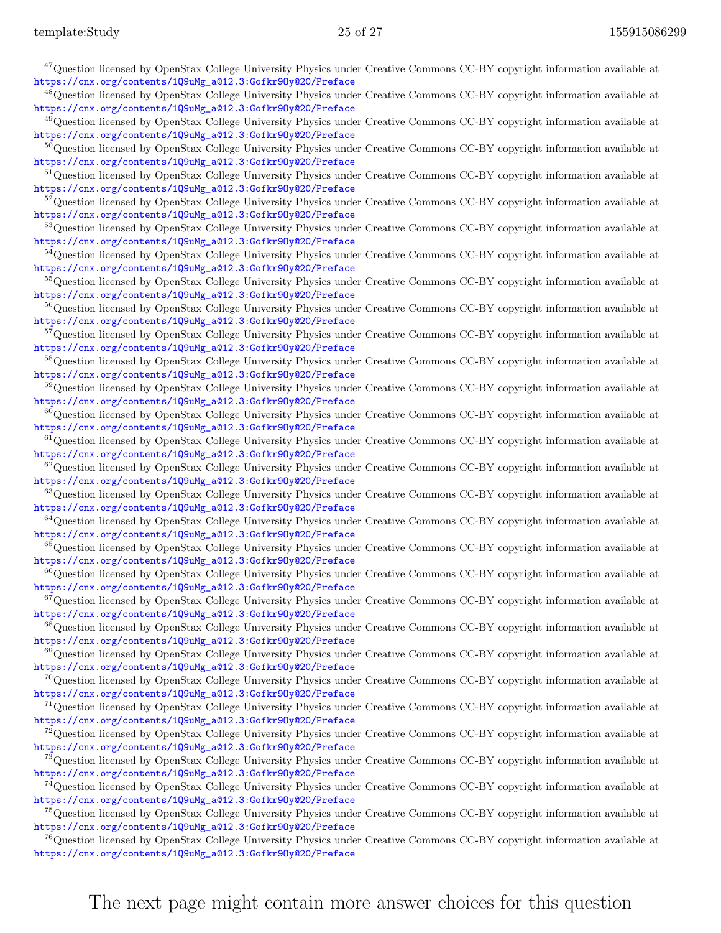| <sup>47</sup> Question licensed by OpenStax College University Physics under Creative Commons CC-BY copyright information available at                                                               |
|------------------------------------------------------------------------------------------------------------------------------------------------------------------------------------------------------|
| https://cnx.org/contents/1Q9uMg_a@12.3:Gofkr90y@20/Preface                                                                                                                                           |
| <sup>48</sup> Question licensed by OpenStax College University Physics under Creative Commons CC-BY copyright information available at<br>https://cnx.org/contents/1Q9uMg_a@12.3:Gofkr90y@20/Preface |
| <sup>49</sup> Question licensed by OpenStax College University Physics under Creative Commons CC-BY copyright information available at                                                               |
| https://cnx.org/contents/1Q9uMg_a@12.3:Gofkr90y@20/Preface                                                                                                                                           |
| ${}^{50}$ Question licensed by OpenStax College University Physics under Creative Commons CC-BY copyright information available at<br>https://cnx.org/contents/1Q9uMg_a@12.3:Gofkr90y@20/Preface     |
| <sup>51</sup> Question licensed by OpenStax College University Physics under Creative Commons CC-BY copyright information available at                                                               |
| https://cnx.org/contents/1Q9uMg_a@12.3:Gofkr90y@20/Preface                                                                                                                                           |
| <sup>52</sup> Question licensed by OpenStax College University Physics under Creative Commons CC-BY copyright information available at                                                               |
| https://cnx.org/contents/1Q9uMg_a@12.3:Gofkr90y@20/Preface<br><sup>53</sup> Question licensed by OpenStax College University Physics under Creative Commons CC-BY copyright information available at |
| https://cnx.org/contents/1Q9uMg_a@12.3:Gofkr90y@20/Preface                                                                                                                                           |
| <sup>54</sup> Question licensed by OpenStax College University Physics under Creative Commons CC-BY copyright information available at                                                               |
| https://cnx.org/contents/1Q9uMg_a@12.3:Gofkr90y@20/Preface                                                                                                                                           |
| <sup>55</sup> Question licensed by OpenStax College University Physics under Creative Commons CC-BY copyright information available at<br>https://cnx.org/contents/1Q9uMg_a@12.3:Gofkr90y@20/Preface |
| <sup>56</sup> Question licensed by OpenStax College University Physics under Creative Commons CC-BY copyright information available at                                                               |
| https://cnx.org/contents/1Q9uMg_a@12.3:Gofkr90y@20/Preface                                                                                                                                           |
| <sup>57</sup> Question licensed by OpenStax College University Physics under Creative Commons CC-BY copyright information available at<br>https://cnx.org/contents/1Q9uMg_a@12.3:Gofkr90y@20/Preface |
| <sup>58</sup> Question licensed by OpenStax College University Physics under Creative Commons CC-BY copyright information available at                                                               |
| https://cnx.org/contents/1Q9uMg_a@12.3:Gofkr90y@20/Preface                                                                                                                                           |
| <sup>59</sup> Question licensed by OpenStax College University Physics under Creative Commons CC-BY copyright information available at                                                               |
| https://cnx.org/contents/1Q9uMg_a@12.3:Gofkr90y@20/Preface<br>${}^{60}$ Question licensed by OpenStax College University Physics under Creative Commons CC-BY copyright information available at     |
| https://cnx.org/contents/1Q9uMg_a@12.3:Gofkr90y@20/Preface                                                                                                                                           |
| ${}^{61}$ Question licensed by OpenStax College University Physics under Creative Commons CC-BY copyright information available at                                                                   |
| https://cnx.org/contents/1Q9uMg_a@12.3:Gofkr90y@20/Preface                                                                                                                                           |
| ${}^{62}$ Question licensed by OpenStax College University Physics under Creative Commons CC-BY copyright information available at<br>https://cnx.org/contents/1Q9uMg_a@12.3:Gofkr90y@20/Preface     |
| <sup>63</sup> Question licensed by OpenStax College University Physics under Creative Commons CC-BY copyright information available at                                                               |
| https://cnx.org/contents/1Q9uMg_a@12.3:Gofkr90y@20/Preface                                                                                                                                           |
| $^{64}$ Question licensed by OpenStax College University Physics under Creative Commons CC-BY copyright information available at<br>https://cnx.org/contents/1Q9uMg_a@12.3:Gofkr90y@20/Preface       |
| ${}^{65}$ Question licensed by OpenStax College University Physics under Creative Commons CC-BY copyright information available at                                                                   |
| https://cnx.org/contents/1Q9uMg_a@12.3:Gofkr90y@20/Preface                                                                                                                                           |
| <sup>66</sup> Question licensed by OpenStax College University Physics under Creative Commons CC-BY copyright information available at                                                               |
| https://cnx.org/contents/1Q9uMg_a@12.3:Gofkr90y@20/Preface<br><sup>67</sup> Question licensed by OpenStax College University Physics under Creative Commons CC-BY copyright information available at |
| https://cnx.org/contents/1Q9uMg_a@12.3:Gofkr90y@20/Preface                                                                                                                                           |
| <sup>68</sup> Question licensed by OpenStax College University Physics under Creative Commons CC-BY copyright information available at                                                               |
| https://cnx.org/contents/1Q9uMg_a@12.3:Gofkr90y@20/Preface                                                                                                                                           |
| <sup>69</sup> Question licensed by OpenStax College University Physics under Creative Commons CC-BY copyright information available at<br>https://cnx.org/contents/1Q9uMg_a@12.3:Gofkr90y@20/Preface |
| <sup>70</sup> Question licensed by OpenStax College University Physics under Creative Commons CC-BY copyright information available at                                                               |
| https://cnx.org/contents/1Q9uMg_a@12.3:Gofkr90y@20/Preface                                                                                                                                           |
| $^{71}$ Question licensed by OpenStax College University Physics under Creative Commons CC-BY copyright information available at<br>https://cnx.org/contents/1Q9uMg_a@12.3:Gofkr90y@20/Preface       |
| $^{72}$ Question licensed by OpenStax College University Physics under Creative Commons CC-BY copyright information available at                                                                     |
| https://cnx.org/contents/1Q9uMg_a@12.3:Gofkr90y@20/Preface                                                                                                                                           |
| <sup>73</sup> Question licensed by OpenStax College University Physics under Creative Commons CC-BY copyright information available at                                                               |
| https://cnx.org/contents/1Q9uMg_a@12.3:Gofkr90y@20/Preface<br><sup>74</sup> Question licensed by OpenStax College University Physics under Creative Commons CC-BY copyright information available at |
| https://cnx.org/contents/1Q9uMg_a@12.3:Gofkr90y@20/Preface                                                                                                                                           |
| <sup>75</sup> Question licensed by OpenStax College University Physics under Creative Commons CC-BY copyright information available at                                                               |
| https://cnx.org/contents/1Q9uMg_a@12.3:Gofkr90y@20/Preface                                                                                                                                           |
| <sup>76</sup> Question licensed by OpenStax College University Physics under Creative Commons CC-BY copyright information available at<br>https://cnx.org/contents/1Q9uMg_a@12.3:Gofkr90y@20/Preface |
|                                                                                                                                                                                                      |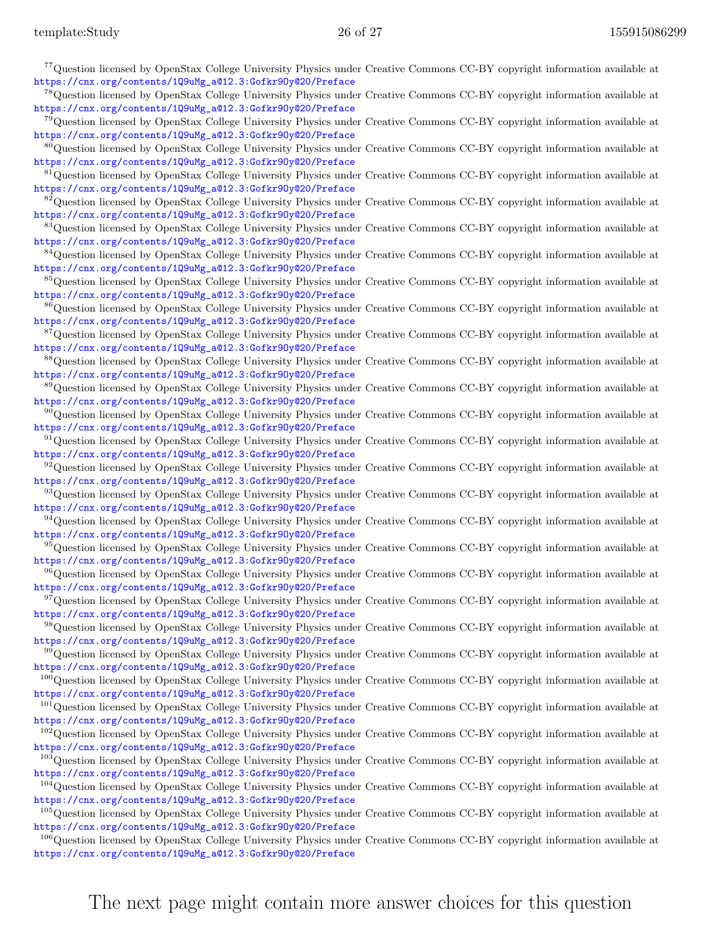| <sup>77</sup> Question licensed by OpenStax College University Physics under Creative Commons CC-BY copyright information available at                                                               |
|------------------------------------------------------------------------------------------------------------------------------------------------------------------------------------------------------|
| https://cnx.org/contents/1Q9uMg_a@12.3:Gofkr90y@20/Preface                                                                                                                                           |
| <sup>78</sup> Question licensed by OpenStax College University Physics under Creative Commons CC-BY copyright information available at                                                               |
| https://cnx.org/contents/1Q9uMg_a@12.3:Gofkr90y@20/Preface                                                                                                                                           |
| <sup>79</sup> Question licensed by OpenStax College University Physics under Creative Commons CC-BY copyright information available at<br>https://cnx.org/contents/1Q9uMg_a@12.3:Gofkr90y@20/Preface |
| <sup>80</sup> Question licensed by OpenStax College University Physics under Creative Commons CC-BY copyright information available at                                                               |
| https://cnx.org/contents/1Q9uMg_a@12.3:Gofkr90y@20/Preface                                                                                                                                           |
| <sup>81</sup> Question licensed by OpenStax College University Physics under Creative Commons CC-BY copyright information available at                                                               |
| https://cnx.org/contents/1Q9uMg_a@12.3:Gofkr90y@20/Preface                                                                                                                                           |
| <sup>82</sup> Question licensed by OpenStax College University Physics under Creative Commons CC-BY copyright information available at                                                               |
| https://cnx.org/contents/1Q9uMg_a@12.3:Gofkr90y@20/Preface                                                                                                                                           |
| <sup>83</sup> Question licensed by OpenStax College University Physics under Creative Commons CC-BY copyright information available at                                                               |
| https://cnx.org/contents/1Q9uMg_a@12.3:Gofkr90y@20/Preface<br><sup>84</sup> Question licensed by OpenStax College University Physics under Creative Commons CC-BY copyright information available at |
| https://cnx.org/contents/1Q9uMg_a@12.3:Gofkr90y@20/Preface                                                                                                                                           |
| <sup>85</sup> Question licensed by OpenStax College University Physics under Creative Commons CC-BY copyright information available at                                                               |
| https://cnx.org/contents/1Q9uMg_a@12.3:Gofkr90y@20/Preface                                                                                                                                           |
| <sup>86</sup> Question licensed by OpenStax College University Physics under Creative Commons CC-BY copyright information available at                                                               |
| https://cnx.org/contents/1Q9uMg_a@12.3:Gofkr90y@20/Preface                                                                                                                                           |
| <sup>87</sup> Question licensed by OpenStax College University Physics under Creative Commons CC-BY copyright information available at                                                               |
| https://cnx.org/contents/1Q9uMg_a@12.3:Gofkr90y@20/Preface                                                                                                                                           |
| <sup>88</sup> Question licensed by OpenStax College University Physics under Creative Commons CC-BY copyright information available at<br>https://cnx.org/contents/1Q9uMg_a@12.3:Gofkr90y@20/Preface |
| <sup>89</sup> Question licensed by OpenStax College University Physics under Creative Commons CC-BY copyright information available at                                                               |
| https://cnx.org/contents/1Q9uMg_a@12.3:Gofkr90y@20/Preface                                                                                                                                           |
| $^{90}$ Question licensed by OpenStax College University Physics under Creative Commons CC-BY copyright information available at                                                                     |
| https://cnx.org/contents/1Q9uMg_a@12.3:Gofkr90y@20/Preface                                                                                                                                           |
| $91$ Question licensed by OpenStax College University Physics under Creative Commons CC-BY copyright information available at                                                                        |
| https://cnx.org/contents/1Q9uMg_a@12.3:Gofkr90y@20/Preface                                                                                                                                           |
| $92$ Question licensed by OpenStax College University Physics under Creative Commons CC-BY copyright information available at<br>https://cnx.org/contents/1Q9uMg_a@12.3:Gofkr90y@20/Preface          |
| 93 Question licensed by OpenStax College University Physics under Creative Commons CC-BY copyright information available at                                                                          |
| https://cnx.org/contents/1Q9uMg_a@12.3:Gofkr90y@20/Preface                                                                                                                                           |
| <sup>94</sup> Question licensed by OpenStax College University Physics under Creative Commons CC-BY copyright information available at                                                               |
| https://cnx.org/contents/1Q9uMg_a@12.3:Gofkr90y@20/Preface                                                                                                                                           |
| <sup>95</sup> Question licensed by OpenStax College University Physics under Creative Commons CC-BY copyright information available at                                                               |
| https://cnx.org/contents/1Q9uMg_a@12.3:Gofkr90y@20/Preface                                                                                                                                           |
| <sup>96</sup> Question licensed by OpenStax College University Physics under Creative Commons CC-BY copyright information available at<br>https://cnx.org/contents/1Q9uMg_a@12.3:Gofkr90y@20/Preface |
| <sup>97</sup> Question licensed by OpenStax College University Physics under Creative Commons CC-BY copyright information available at                                                               |
| https://cnx.org/contents/1Q9uMg_a@12.3:Gofkr90y@20/Preface                                                                                                                                           |
| <sup>98</sup> Question licensed by OpenStax College University Physics under Creative Commons CC-BY copyright information available at                                                               |
| https://cnx.org/contents/1Q9uMg_a@12.3:Gofkr90y@20/Preface                                                                                                                                           |
| <sup>99</sup> Question licensed by OpenStax College University Physics under Creative Commons CC-BY copyright information available at                                                               |
| https://cnx.org/contents/1Q9uMg_a@12.3:Gofkr90y@20/Preface                                                                                                                                           |
| $^{100}$ Question licensed by OpenStax College University Physics under Creative Commons CC-BY copyright information available at<br>https://cnx.org/contents/1Q9uMg_a@12.3:Gofkr90y@20/Preface      |
| $101$ Question licensed by OpenStax College University Physics under Creative Commons CC-BY copyright information available at                                                                       |
| https://cnx.org/contents/1Q9uMg_a@12.3:Gofkr90y@20/Preface                                                                                                                                           |
| $102$ Question licensed by OpenStax College University Physics under Creative Commons CC-BY copyright information available at                                                                       |
| https://cnx.org/contents/1Q9uMg_a@12.3:Gofkr90y@20/Preface                                                                                                                                           |
| <sup>103</sup> Question licensed by OpenStax College University Physics under Creative Commons CC-BY copyright information available at                                                              |
| https://cnx.org/contents/1Q9uMg_a@12.3:Gofkr90y@20/Preface                                                                                                                                           |
| $104$ Question licensed by OpenStax College University Physics under Creative Commons CC-BY copyright information available at                                                                       |
| https://cnx.org/contents/1Q9uMg_a@12.3:Gofkr90y@20/Preface<br>$105$ Question licensed by OpenStax College University Physics under Creative Commons CC-BY copyright information available at         |
| https://cnx.org/contents/1Q9uMg_a@12.3:Gofkr90y@20/Preface                                                                                                                                           |
| $106$ Question licensed by OpenStax College University Physics under Creative Commons CC-BY copyright information available at                                                                       |

[https://cnx.org/contents/1Q9uMg\\_a@12.3:Gofkr9Oy@20/Preface](https://cnx.org/contents/1Q9uMg_a@12.3:Gofkr9Oy@20/Preface)